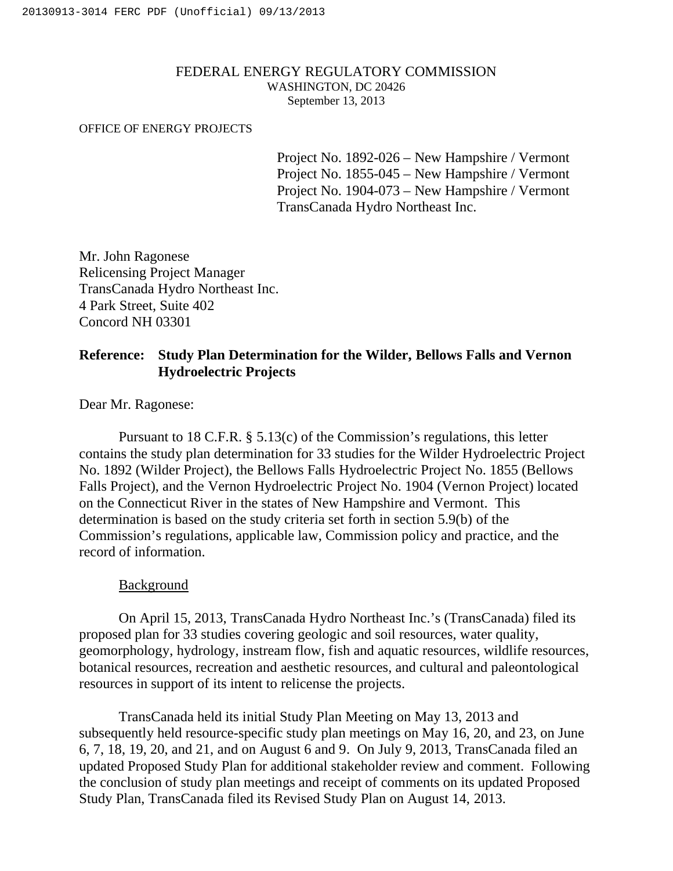#### FEDERAL ENERGY REGULATORY COMMISSION WASHINGTON, DC 20426 September 13, 2013

#### OFFICE OF ENERGY PROJECTS

Project No. 1892-026 – New Hampshire / Vermont Project No. 1855-045 – New Hampshire / Vermont Project No. 1904-073 – New Hampshire / Vermont TransCanada Hydro Northeast Inc.

Mr. John Ragonese Relicensing Project Manager TransCanada Hydro Northeast Inc. 4 Park Street, Suite 402 Concord NH 03301

## **Reference: Study Plan Determination for the Wilder, Bellows Falls and Vernon Hydroelectric Projects**

Dear Mr. Ragonese:

Pursuant to 18 C.F.R. § 5.13(c) of the Commission's regulations, this letter contains the study plan determination for 33 studies for the Wilder Hydroelectric Project No. 1892 (Wilder Project), the Bellows Falls Hydroelectric Project No. 1855 (Bellows Falls Project), and the Vernon Hydroelectric Project No. 1904 (Vernon Project) located on the Connecticut River in the states of New Hampshire and Vermont. This determination is based on the study criteria set forth in section 5.9(b) of the Commission's regulations, applicable law, Commission policy and practice, and the record of information.

#### Background

On April 15, 2013, TransCanada Hydro Northeast Inc.'s (TransCanada) filed its proposed plan for 33 studies covering geologic and soil resources, water quality, geomorphology, hydrology, instream flow, fish and aquatic resources, wildlife resources, botanical resources, recreation and aesthetic resources, and cultural and paleontological resources in support of its intent to relicense the projects.

TransCanada held its initial Study Plan Meeting on May 13, 2013 and subsequently held resource-specific study plan meetings on May 16, 20, and 23, on June 6, 7, 18, 19, 20, and 21, and on August 6 and 9. On July 9, 2013, TransCanada filed an updated Proposed Study Plan for additional stakeholder review and comment. Following the conclusion of study plan meetings and receipt of comments on its updated Proposed Study Plan, TransCanada filed its Revised Study Plan on August 14, 2013.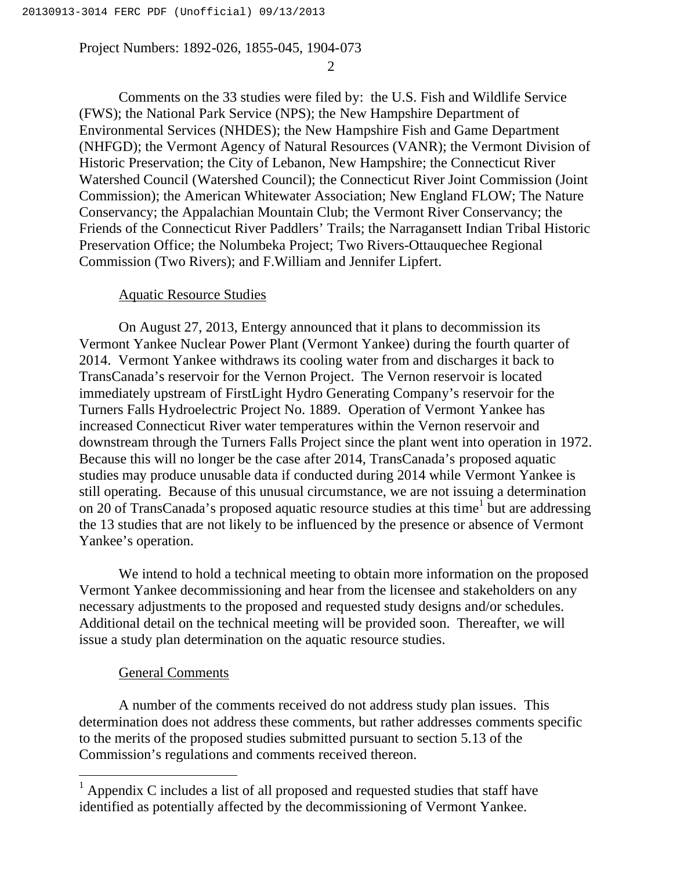2

Comments on the 33 studies were filed by: the U.S. Fish and Wildlife Service (FWS); the National Park Service (NPS); the New Hampshire Department of Environmental Services (NHDES); the New Hampshire Fish and Game Department (NHFGD); the Vermont Agency of Natural Resources (VANR); the Vermont Division of Historic Preservation; the City of Lebanon, New Hampshire; the Connecticut River Watershed Council (Watershed Council); the Connecticut River Joint Commission (Joint Commission); the American Whitewater Association; New England FLOW; The Nature Conservancy; the Appalachian Mountain Club; the Vermont River Conservancy; the Friends of the Connecticut River Paddlers' Trails; the Narragansett Indian Tribal Historic Preservation Office; the Nolumbeka Project; Two Rivers-Ottauquechee Regional Commission (Two Rivers); and F.William and Jennifer Lipfert.

#### Aquatic Resource Studies

On August 27, 2013, Entergy announced that it plans to decommission its Vermont Yankee Nuclear Power Plant (Vermont Yankee) during the fourth quarter of 2014. Vermont Yankee withdraws its cooling water from and discharges it back to TransCanada's reservoir for the Vernon Project. The Vernon reservoir is located immediately upstream of FirstLight Hydro Generating Company's reservoir for the Turners Falls Hydroelectric Project No. 1889. Operation of Vermont Yankee has increased Connecticut River water temperatures within the Vernon reservoir and downstream through the Turners Falls Project since the plant went into operation in 1972. Because this will no longer be the case after 2014, TransCanada's proposed aquatic studies may produce unusable data if conducted during 2014 while Vermont Yankee is still operating. Because of this unusual circumstance, we are not issuing a determination on 20 of TransCanada's proposed aquatic resource studies at this time<sup>1</sup> but are addressing the 13 studies that are not likely to be influenced by the presence or absence of Vermont Yankee's operation.

We intend to hold a technical meeting to obtain more information on the proposed Vermont Yankee decommissioning and hear from the licensee and stakeholders on any necessary adjustments to the proposed and requested study designs and/or schedules. Additional detail on the technical meeting will be provided soon. Thereafter, we will issue a study plan determination on the aquatic resource studies.

#### General Comments

 $\overline{a}$ 

A number of the comments received do not address study plan issues. This determination does not address these comments, but rather addresses comments specific to the merits of the proposed studies submitted pursuant to section 5.13 of the Commission's regulations and comments received thereon.

 $<sup>1</sup>$  Appendix C includes a list of all proposed and requested studies that staff have</sup> identified as potentially affected by the decommissioning of Vermont Yankee.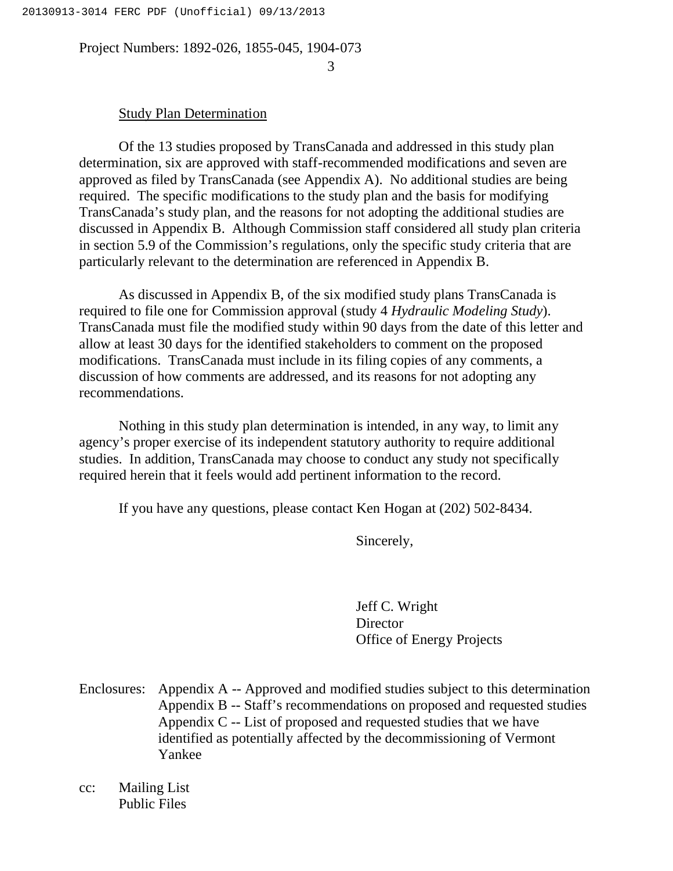3

#### Study Plan Determination

Of the 13 studies proposed by TransCanada and addressed in this study plan determination, six are approved with staff-recommended modifications and seven are approved as filed by TransCanada (see Appendix A). No additional studies are being required. The specific modifications to the study plan and the basis for modifying TransCanada's study plan, and the reasons for not adopting the additional studies are discussed in Appendix B. Although Commission staff considered all study plan criteria in section 5.9 of the Commission's regulations, only the specific study criteria that are particularly relevant to the determination are referenced in Appendix B.

As discussed in Appendix B, of the six modified study plans TransCanada is required to file one for Commission approval (study 4 *Hydraulic Modeling Study*). TransCanada must file the modified study within 90 days from the date of this letter and allow at least 30 days for the identified stakeholders to comment on the proposed modifications. TransCanada must include in its filing copies of any comments, a discussion of how comments are addressed, and its reasons for not adopting any recommendations.

Nothing in this study plan determination is intended, in any way, to limit any agency's proper exercise of its independent statutory authority to require additional studies. In addition, TransCanada may choose to conduct any study not specifically required herein that it feels would add pertinent information to the record.

If you have any questions, please contact Ken Hogan at (202) 502-8434.

Sincerely,

Jeff C. Wright **Director** Office of Energy Projects

Enclosures: Appendix A -- Approved and modified studies subject to this determination Appendix B -- Staff's recommendations on proposed and requested studies Appendix C -- List of proposed and requested studies that we have identified as potentially affected by the decommissioning of Vermont Yankee

cc: Mailing List Public Files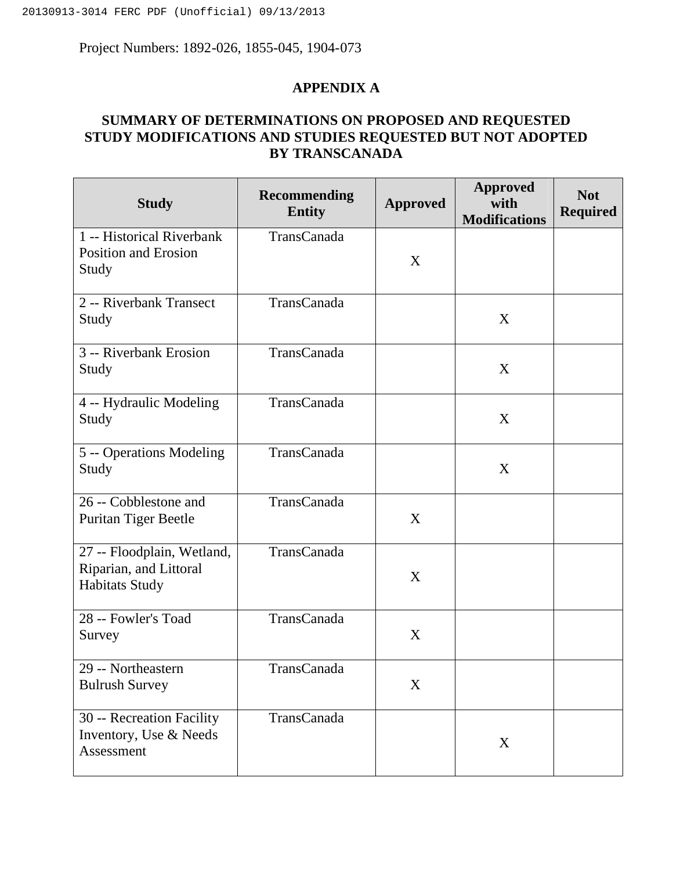## **APPENDIX A**

## **SUMMARY OF DETERMINATIONS ON PROPOSED AND REQUESTED STUDY MODIFICATIONS AND STUDIES REQUESTED BUT NOT ADOPTED BY TRANSCANADA**

| <b>Study</b>                                                                  | <b>Recommending</b><br><b>Entity</b> | <b>Approved</b> | <b>Approved</b><br>with<br><b>Modifications</b> | <b>Not</b><br><b>Required</b> |
|-------------------------------------------------------------------------------|--------------------------------------|-----------------|-------------------------------------------------|-------------------------------|
| 1 -- Historical Riverbank<br>Position and Erosion<br>Study                    | TransCanada                          | X               |                                                 |                               |
| 2 -- Riverbank Transect<br>Study                                              | TransCanada                          |                 | X                                               |                               |
| 3 -- Riverbank Erosion<br>Study                                               | TransCanada                          |                 | X                                               |                               |
| 4 -- Hydraulic Modeling<br>Study                                              | TransCanada                          |                 | X                                               |                               |
| 5 -- Operations Modeling<br>Study                                             | TransCanada                          |                 | X                                               |                               |
| 26 -- Cobblestone and<br>Puritan Tiger Beetle                                 | TransCanada                          | X               |                                                 |                               |
| 27 -- Floodplain, Wetland,<br>Riparian, and Littoral<br><b>Habitats Study</b> | TransCanada                          | X               |                                                 |                               |
| 28 -- Fowler's Toad<br>Survey                                                 | TransCanada                          | X               |                                                 |                               |
| 29 -- Northeastern<br><b>Bulrush Survey</b>                                   | TransCanada                          | X               |                                                 |                               |
| 30 -- Recreation Facility<br>Inventory, Use & Needs<br>Assessment             | TransCanada                          |                 | X                                               |                               |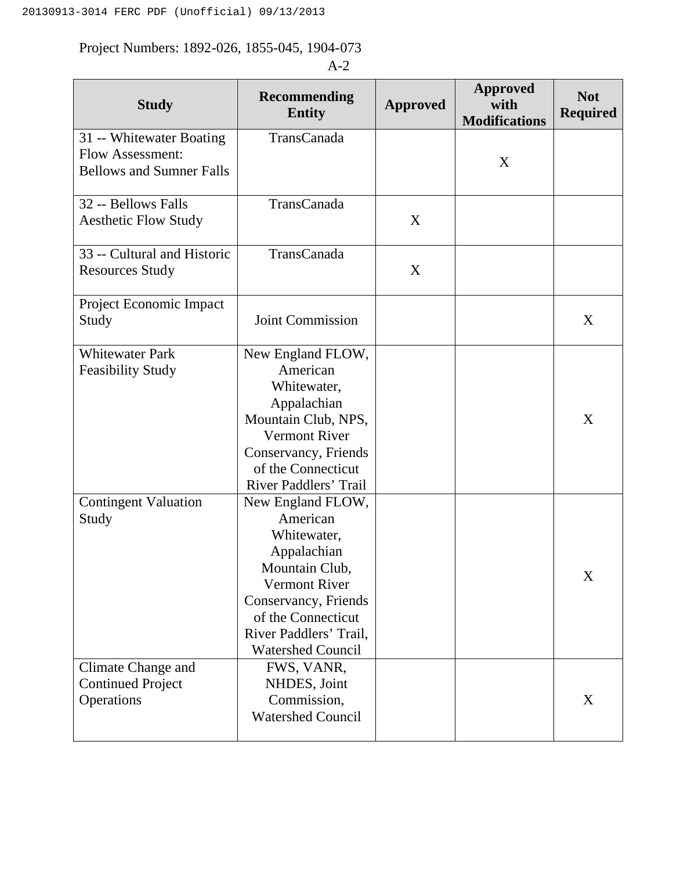| <b>Study</b>                                                                           | <b>Recommending</b><br><b>Entity</b>                                                                                                                                                               | <b>Approved</b> | <b>Approved</b><br>with<br><b>Modifications</b> | <b>Not</b><br><b>Required</b> |
|----------------------------------------------------------------------------------------|----------------------------------------------------------------------------------------------------------------------------------------------------------------------------------------------------|-----------------|-------------------------------------------------|-------------------------------|
| 31 -- Whitewater Boating<br><b>Flow Assessment:</b><br><b>Bellows and Sumner Falls</b> | TransCanada                                                                                                                                                                                        |                 | X                                               |                               |
| 32 -- Bellows Falls<br><b>Aesthetic Flow Study</b>                                     | TransCanada                                                                                                                                                                                        | X               |                                                 |                               |
| 33 -- Cultural and Historic<br><b>Resources Study</b>                                  | TransCanada                                                                                                                                                                                        | X               |                                                 |                               |
| Project Economic Impact<br>Study                                                       | <b>Joint Commission</b>                                                                                                                                                                            |                 |                                                 | X                             |
| <b>Whitewater Park</b><br><b>Feasibility Study</b>                                     | New England FLOW,<br>American<br>Whitewater,<br>Appalachian<br>Mountain Club, NPS,<br>Vermont River<br>Conservancy, Friends<br>of the Connecticut<br>River Paddlers' Trail                         |                 |                                                 | X                             |
| <b>Contingent Valuation</b><br>Study                                                   | New England FLOW,<br>American<br>Whitewater,<br>Appalachian<br>Mountain Club,<br>Vermont River<br>Conservancy, Friends<br>of the Connecticut<br>River Paddlers' Trail,<br><b>Watershed Council</b> |                 |                                                 | X                             |
| Climate Change and<br><b>Continued Project</b><br>Operations                           | FWS, VANR,<br>NHDES, Joint<br>Commission,<br><b>Watershed Council</b>                                                                                                                              |                 |                                                 | X                             |

A-2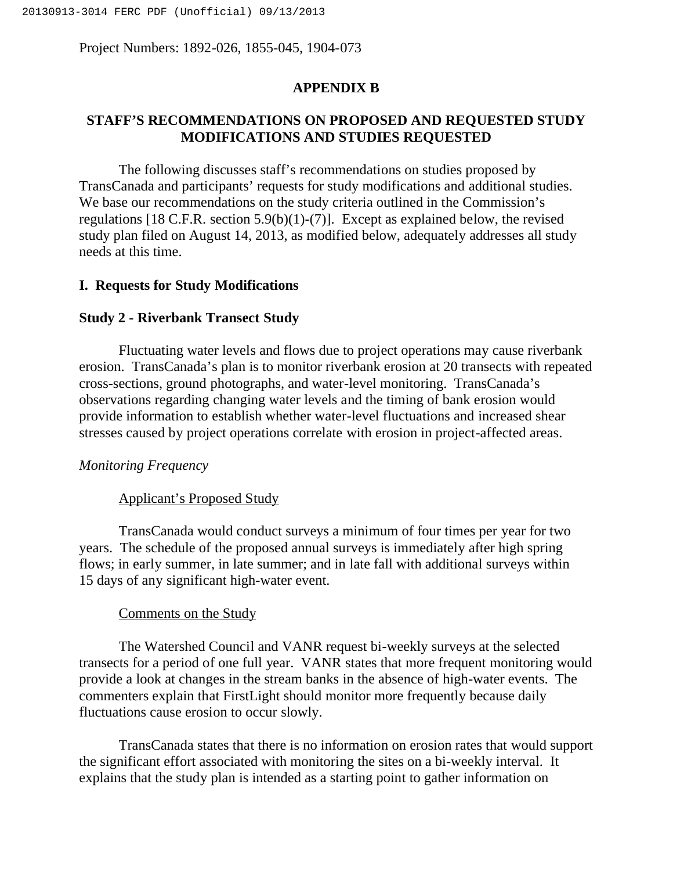#### **APPENDIX B**

## **STAFF'S RECOMMENDATIONS ON PROPOSED AND REQUESTED STUDY MODIFICATIONS AND STUDIES REQUESTED**

The following discusses staff's recommendations on studies proposed by TransCanada and participants' requests for study modifications and additional studies. We base our recommendations on the study criteria outlined in the Commission's regulations [18 C.F.R. section 5.9(b)(1)-(7)]. Except as explained below, the revised study plan filed on August 14, 2013, as modified below, adequately addresses all study needs at this time.

#### **I. Requests for Study Modifications**

#### **Study 2 - Riverbank Transect Study**

Fluctuating water levels and flows due to project operations may cause riverbank erosion. TransCanada's plan is to monitor riverbank erosion at 20 transects with repeated cross-sections, ground photographs, and water-level monitoring. TransCanada's observations regarding changing water levels and the timing of bank erosion would provide information to establish whether water-level fluctuations and increased shear stresses caused by project operations correlate with erosion in project-affected areas.

#### *Monitoring Frequency*

#### Applicant's Proposed Study

TransCanada would conduct surveys a minimum of four times per year for two years. The schedule of the proposed annual surveys is immediately after high spring flows; in early summer, in late summer; and in late fall with additional surveys within 15 days of any significant high-water event.

#### Comments on the Study

The Watershed Council and VANR request bi-weekly surveys at the selected transects for a period of one full year. VANR states that more frequent monitoring would provide a look at changes in the stream banks in the absence of high-water events. The commenters explain that FirstLight should monitor more frequently because daily fluctuations cause erosion to occur slowly.

TransCanada states that there is no information on erosion rates that would support the significant effort associated with monitoring the sites on a bi-weekly interval. It explains that the study plan is intended as a starting point to gather information on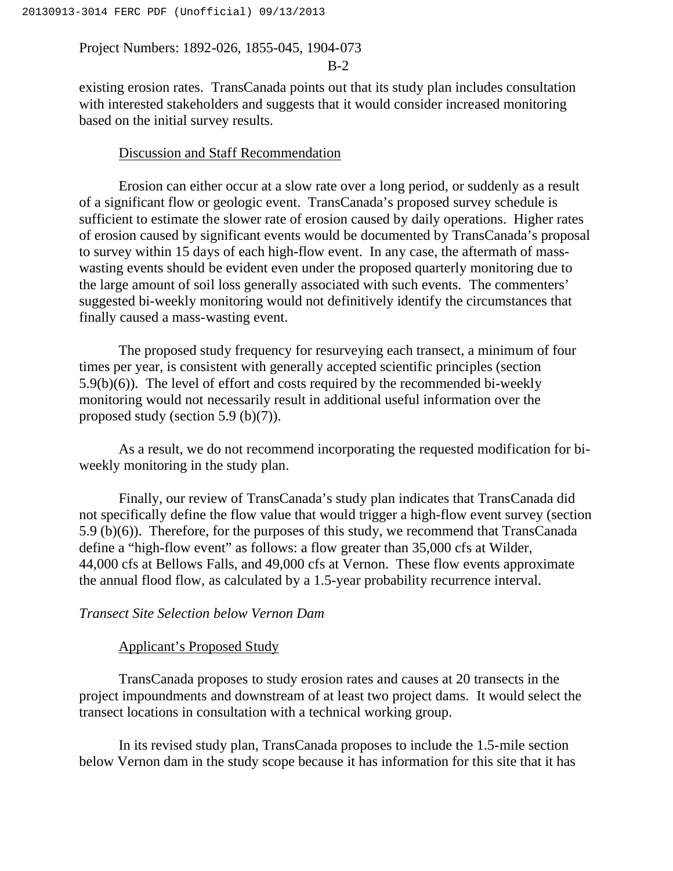#### B-2

existing erosion rates. TransCanada points out that its study plan includes consultation with interested stakeholders and suggests that it would consider increased monitoring based on the initial survey results.

#### Discussion and Staff Recommendation

Erosion can either occur at a slow rate over a long period, or suddenly as a result of a significant flow or geologic event. TransCanada's proposed survey schedule is sufficient to estimate the slower rate of erosion caused by daily operations. Higher rates of erosion caused by significant events would be documented by TransCanada's proposal to survey within 15 days of each high-flow event. In any case, the aftermath of masswasting events should be evident even under the proposed quarterly monitoring due to the large amount of soil loss generally associated with such events. The commenters' suggested bi-weekly monitoring would not definitively identify the circumstances that finally caused a mass-wasting event.

The proposed study frequency for resurveying each transect, a minimum of four times per year, is consistent with generally accepted scientific principles (section 5.9(b)(6)). The level of effort and costs required by the recommended bi-weekly monitoring would not necessarily result in additional useful information over the proposed study (section 5.9 (b)(7)).

As a result, we do not recommend incorporating the requested modification for biweekly monitoring in the study plan.

Finally, our review of TransCanada's study plan indicates that TransCanada did not specifically define the flow value that would trigger a high-flow event survey (section 5.9 (b)(6)). Therefore, for the purposes of this study, we recommend that TransCanada define a "high-flow event" as follows: a flow greater than 35,000 cfs at Wilder, 44,000 cfs at Bellows Falls, and 49,000 cfs at Vernon. These flow events approximate the annual flood flow, as calculated by a 1.5-year probability recurrence interval.

## *Transect Site Selection below Vernon Dam*

#### Applicant's Proposed Study

TransCanada proposes to study erosion rates and causes at 20 transects in the project impoundments and downstream of at least two project dams. It would select the transect locations in consultation with a technical working group.

In its revised study plan, TransCanada proposes to include the 1.5-mile section below Vernon dam in the study scope because it has information for this site that it has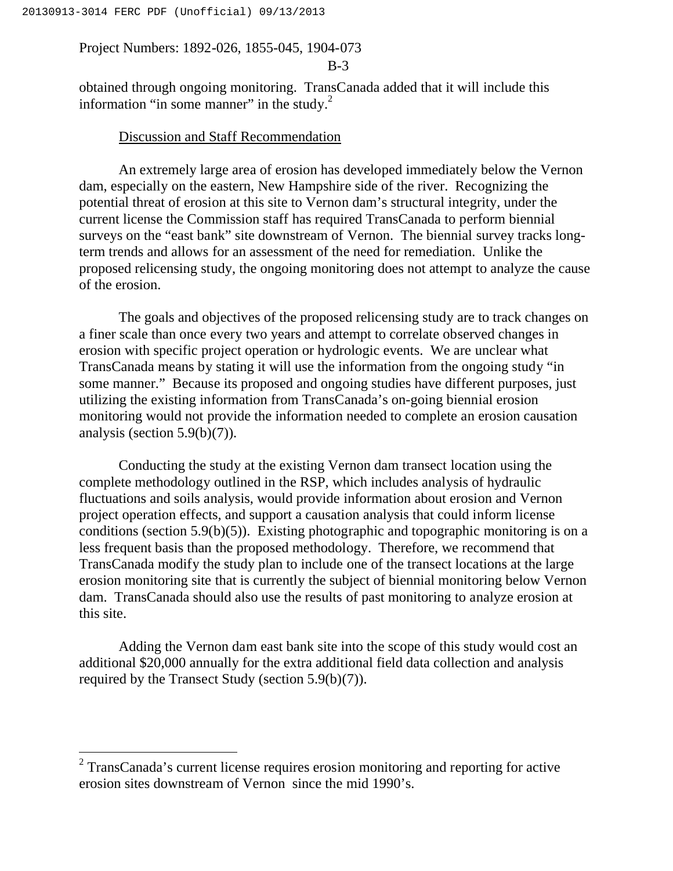$\overline{a}$ 

## Project Numbers: 1892-026, 1855-045, 1904-073

#### B-3

obtained through ongoing monitoring. TransCanada added that it will include this information "in some manner" in the study. $2^2$ 

#### Discussion and Staff Recommendation

An extremely large area of erosion has developed immediately below the Vernon dam, especially on the eastern, New Hampshire side of the river. Recognizing the potential threat of erosion at this site to Vernon dam's structural integrity, under the current license the Commission staff has required TransCanada to perform biennial surveys on the "east bank" site downstream of Vernon. The biennial survey tracks longterm trends and allows for an assessment of the need for remediation. Unlike the proposed relicensing study, the ongoing monitoring does not attempt to analyze the cause of the erosion.

The goals and objectives of the proposed relicensing study are to track changes on a finer scale than once every two years and attempt to correlate observed changes in erosion with specific project operation or hydrologic events. We are unclear what TransCanada means by stating it will use the information from the ongoing study "in some manner." Because its proposed and ongoing studies have different purposes, just utilizing the existing information from TransCanada's on-going biennial erosion monitoring would not provide the information needed to complete an erosion causation analysis (section  $5.9(b)(7)$ ).

Conducting the study at the existing Vernon dam transect location using the complete methodology outlined in the RSP, which includes analysis of hydraulic fluctuations and soils analysis, would provide information about erosion and Vernon project operation effects, and support a causation analysis that could inform license conditions (section 5.9(b)(5)). Existing photographic and topographic monitoring is on a less frequent basis than the proposed methodology. Therefore, we recommend that TransCanada modify the study plan to include one of the transect locations at the large erosion monitoring site that is currently the subject of biennial monitoring below Vernon dam. TransCanada should also use the results of past monitoring to analyze erosion at this site.

Adding the Vernon dam east bank site into the scope of this study would cost an additional \$20,000 annually for the extra additional field data collection and analysis required by the Transect Study (section 5.9(b)(7)).

 $2$  TransCanada's current license requires erosion monitoring and reporting for active erosion sites downstream of Vernon since the mid 1990's.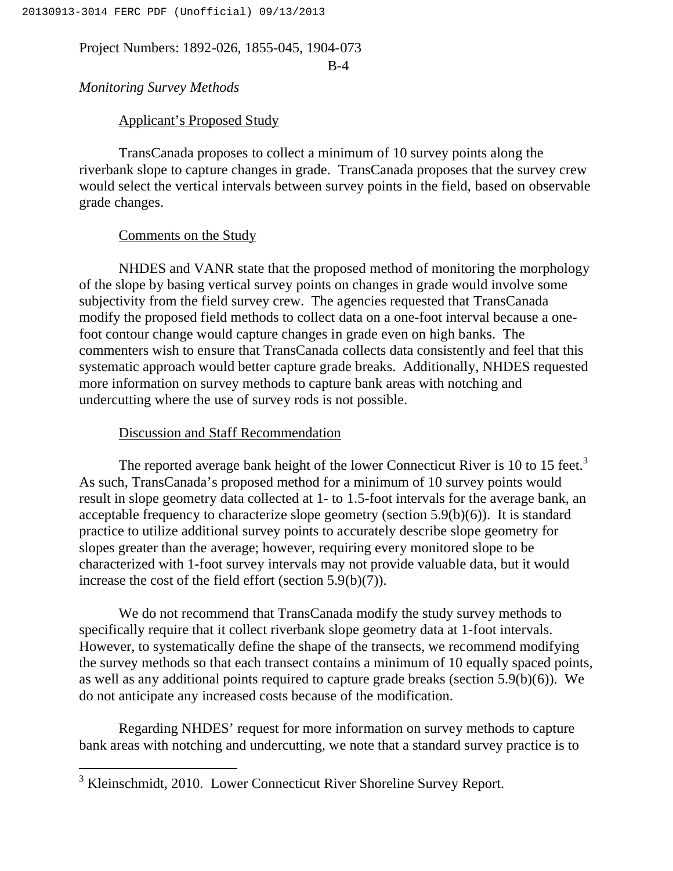B-4

*Monitoring Survey Methods*

#### Applicant's Proposed Study

TransCanada proposes to collect a minimum of 10 survey points along the riverbank slope to capture changes in grade. TransCanada proposes that the survey crew would select the vertical intervals between survey points in the field, based on observable grade changes.

#### Comments on the Study

 $\overline{a}$ 

NHDES and VANR state that the proposed method of monitoring the morphology of the slope by basing vertical survey points on changes in grade would involve some subjectivity from the field survey crew. The agencies requested that TransCanada modify the proposed field methods to collect data on a one-foot interval because a onefoot contour change would capture changes in grade even on high banks. The commenters wish to ensure that TransCanada collects data consistently and feel that this systematic approach would better capture grade breaks. Additionally, NHDES requested more information on survey methods to capture bank areas with notching and undercutting where the use of survey rods is not possible.

#### Discussion and Staff Recommendation

The reported average bank height of the lower Connecticut River is 10 to 15 feet.<sup>3</sup> As such, TransCanada's proposed method for a minimum of 10 survey points would result in slope geometry data collected at 1- to 1.5-foot intervals for the average bank, an acceptable frequency to characterize slope geometry (section  $5.9(b)(6)$ ). It is standard practice to utilize additional survey points to accurately describe slope geometry for slopes greater than the average; however, requiring every monitored slope to be characterized with 1-foot survey intervals may not provide valuable data, but it would increase the cost of the field effort (section 5.9(b)(7)).

We do not recommend that TransCanada modify the study survey methods to specifically require that it collect riverbank slope geometry data at 1-foot intervals. However, to systematically define the shape of the transects, we recommend modifying the survey methods so that each transect contains a minimum of 10 equally spaced points, as well as any additional points required to capture grade breaks (section 5.9(b)(6)). We do not anticipate any increased costs because of the modification.

Regarding NHDES' request for more information on survey methods to capture bank areas with notching and undercutting, we note that a standard survey practice is to

<sup>&</sup>lt;sup>3</sup> Kleinschmidt, 2010. Lower Connecticut River Shoreline Survey Report.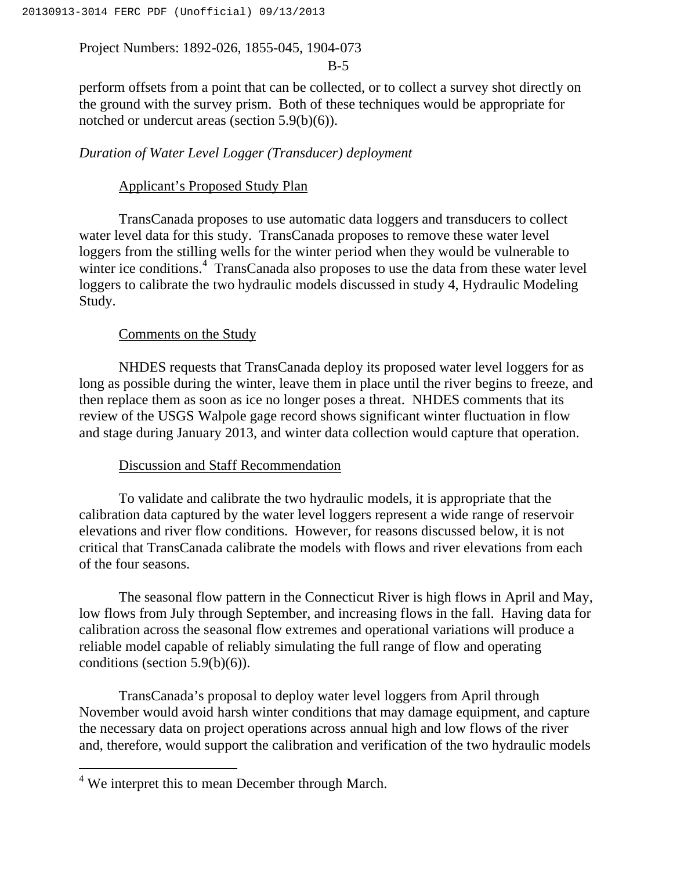#### $B-5$

perform offsets from a point that can be collected, or to collect a survey shot directly on the ground with the survey prism. Both of these techniques would be appropriate for notched or undercut areas (section 5.9(b)(6)).

## *Duration of Water Level Logger (Transducer) deployment*

## Applicant's Proposed Study Plan

TransCanada proposes to use automatic data loggers and transducers to collect water level data for this study. TransCanada proposes to remove these water level loggers from the stilling wells for the winter period when they would be vulnerable to winter ice conditions.<sup>4</sup> TransCanada also proposes to use the data from these water level loggers to calibrate the two hydraulic models discussed in study 4, Hydraulic Modeling Study.

#### Comments on the Study

NHDES requests that TransCanada deploy its proposed water level loggers for as long as possible during the winter, leave them in place until the river begins to freeze, and then replace them as soon as ice no longer poses a threat. NHDES comments that its review of the USGS Walpole gage record shows significant winter fluctuation in flow and stage during January 2013, and winter data collection would capture that operation.

#### Discussion and Staff Recommendation

To validate and calibrate the two hydraulic models, it is appropriate that the calibration data captured by the water level loggers represent a wide range of reservoir elevations and river flow conditions. However, for reasons discussed below, it is not critical that TransCanada calibrate the models with flows and river elevations from each of the four seasons.

The seasonal flow pattern in the Connecticut River is high flows in April and May, low flows from July through September, and increasing flows in the fall. Having data for calibration across the seasonal flow extremes and operational variations will produce a reliable model capable of reliably simulating the full range of flow and operating conditions (section 5.9(b)(6)).

TransCanada's proposal to deploy water level loggers from April through November would avoid harsh winter conditions that may damage equipment, and capture the necessary data on project operations across annual high and low flows of the river and, therefore, would support the calibration and verification of the two hydraulic models

 $\overline{a}$ 

<sup>&</sup>lt;sup>4</sup> We interpret this to mean December through March.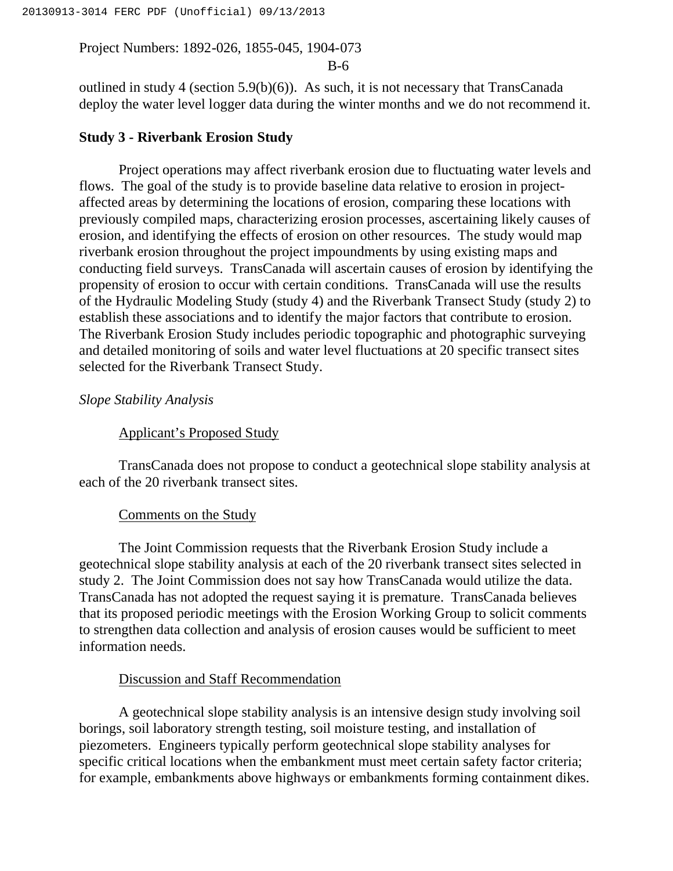#### B-6

outlined in study 4 (section 5.9(b)(6)). As such, it is not necessary that TransCanada deploy the water level logger data during the winter months and we do not recommend it.

#### **Study 3 - Riverbank Erosion Study**

Project operations may affect riverbank erosion due to fluctuating water levels and flows. The goal of the study is to provide baseline data relative to erosion in projectaffected areas by determining the locations of erosion, comparing these locations with previously compiled maps, characterizing erosion processes, ascertaining likely causes of erosion, and identifying the effects of erosion on other resources. The study would map riverbank erosion throughout the project impoundments by using existing maps and conducting field surveys. TransCanada will ascertain causes of erosion by identifying the propensity of erosion to occur with certain conditions. TransCanada will use the results of the Hydraulic Modeling Study (study 4) and the Riverbank Transect Study (study 2) to establish these associations and to identify the major factors that contribute to erosion. The Riverbank Erosion Study includes periodic topographic and photographic surveying and detailed monitoring of soils and water level fluctuations at 20 specific transect sites selected for the Riverbank Transect Study.

#### *Slope Stability Analysis*

## Applicant's Proposed Study

TransCanada does not propose to conduct a geotechnical slope stability analysis at each of the 20 riverbank transect sites.

#### Comments on the Study

The Joint Commission requests that the Riverbank Erosion Study include a geotechnical slope stability analysis at each of the 20 riverbank transect sites selected in study 2. The Joint Commission does not say how TransCanada would utilize the data. TransCanada has not adopted the request saying it is premature. TransCanada believes that its proposed periodic meetings with the Erosion Working Group to solicit comments to strengthen data collection and analysis of erosion causes would be sufficient to meet information needs.

#### Discussion and Staff Recommendation

A geotechnical slope stability analysis is an intensive design study involving soil borings, soil laboratory strength testing, soil moisture testing, and installation of piezometers. Engineers typically perform geotechnical slope stability analyses for specific critical locations when the embankment must meet certain safety factor criteria; for example, embankments above highways or embankments forming containment dikes.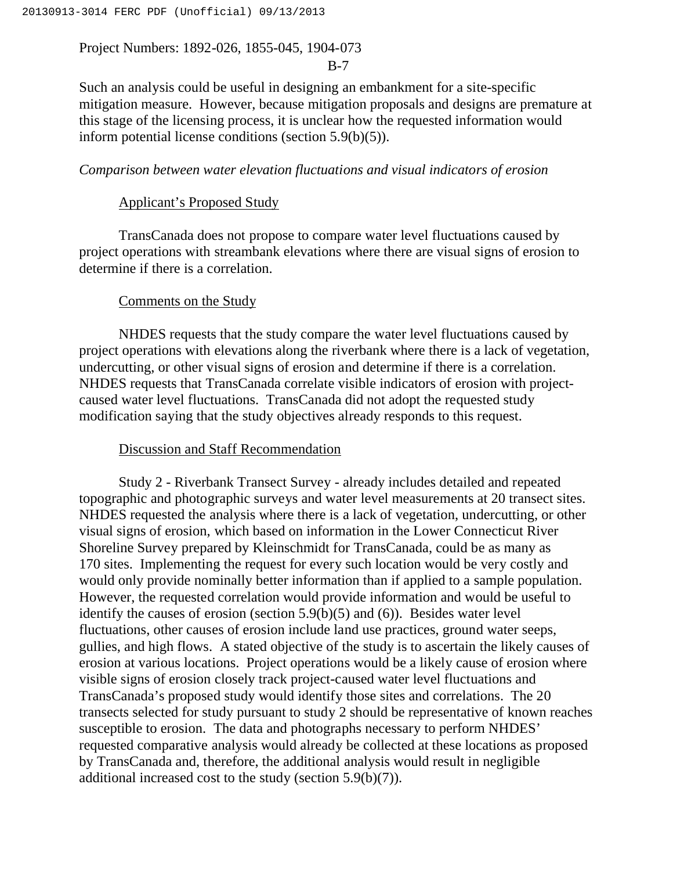#### B-7

Such an analysis could be useful in designing an embankment for a site-specific mitigation measure. However, because mitigation proposals and designs are premature at this stage of the licensing process, it is unclear how the requested information would inform potential license conditions (section 5.9(b)(5)).

#### *Comparison between water elevation fluctuations and visual indicators of erosion*

#### Applicant's Proposed Study

TransCanada does not propose to compare water level fluctuations caused by project operations with streambank elevations where there are visual signs of erosion to determine if there is a correlation.

#### Comments on the Study

NHDES requests that the study compare the water level fluctuations caused by project operations with elevations along the riverbank where there is a lack of vegetation, undercutting, or other visual signs of erosion and determine if there is a correlation. NHDES requests that TransCanada correlate visible indicators of erosion with projectcaused water level fluctuations. TransCanada did not adopt the requested study modification saying that the study objectives already responds to this request.

#### Discussion and Staff Recommendation

Study 2 - Riverbank Transect Survey - already includes detailed and repeated topographic and photographic surveys and water level measurements at 20 transect sites. NHDES requested the analysis where there is a lack of vegetation, undercutting, or other visual signs of erosion, which based on information in the Lower Connecticut River Shoreline Survey prepared by Kleinschmidt for TransCanada, could be as many as 170 sites. Implementing the request for every such location would be very costly and would only provide nominally better information than if applied to a sample population. However, the requested correlation would provide information and would be useful to identify the causes of erosion (section 5.9(b)(5) and (6)). Besides water level fluctuations, other causes of erosion include land use practices, ground water seeps, gullies, and high flows. A stated objective of the study is to ascertain the likely causes of erosion at various locations. Project operations would be a likely cause of erosion where visible signs of erosion closely track project-caused water level fluctuations and TransCanada's proposed study would identify those sites and correlations. The 20 transects selected for study pursuant to study 2 should be representative of known reaches susceptible to erosion. The data and photographs necessary to perform NHDES' requested comparative analysis would already be collected at these locations as proposed by TransCanada and, therefore, the additional analysis would result in negligible additional increased cost to the study (section 5.9(b)(7)).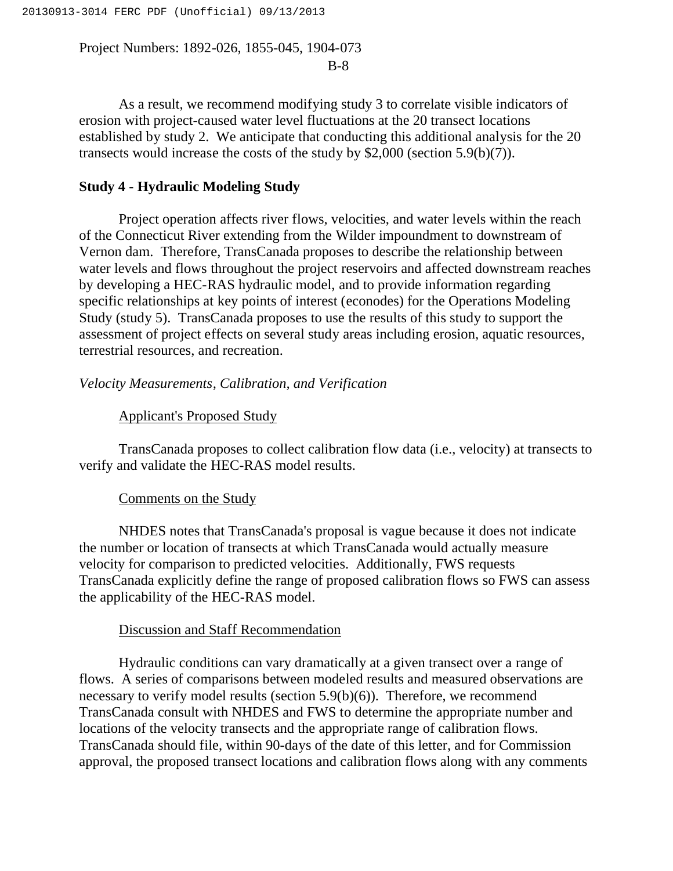As a result, we recommend modifying study 3 to correlate visible indicators of erosion with project-caused water level fluctuations at the 20 transect locations established by study 2. We anticipate that conducting this additional analysis for the 20 transects would increase the costs of the study by \$2,000 (section 5.9(b)(7)).

#### **Study 4 - Hydraulic Modeling Study**

Project operation affects river flows, velocities, and water levels within the reach of the Connecticut River extending from the Wilder impoundment to downstream of Vernon dam. Therefore, TransCanada proposes to describe the relationship between water levels and flows throughout the project reservoirs and affected downstream reaches by developing a HEC-RAS hydraulic model, and to provide information regarding specific relationships at key points of interest (econodes) for the Operations Modeling Study (study 5). TransCanada proposes to use the results of this study to support the assessment of project effects on several study areas including erosion, aquatic resources, terrestrial resources, and recreation.

#### *Velocity Measurements, Calibration, and Verification*

#### Applicant's Proposed Study

TransCanada proposes to collect calibration flow data (i.e., velocity) at transects to verify and validate the HEC-RAS model results.

#### Comments on the Study

NHDES notes that TransCanada's proposal is vague because it does not indicate the number or location of transects at which TransCanada would actually measure velocity for comparison to predicted velocities. Additionally, FWS requests TransCanada explicitly define the range of proposed calibration flows so FWS can assess the applicability of the HEC-RAS model.

#### Discussion and Staff Recommendation

Hydraulic conditions can vary dramatically at a given transect over a range of flows. A series of comparisons between modeled results and measured observations are necessary to verify model results (section 5.9(b)(6)). Therefore, we recommend TransCanada consult with NHDES and FWS to determine the appropriate number and locations of the velocity transects and the appropriate range of calibration flows. TransCanada should file, within 90-days of the date of this letter, and for Commission approval, the proposed transect locations and calibration flows along with any comments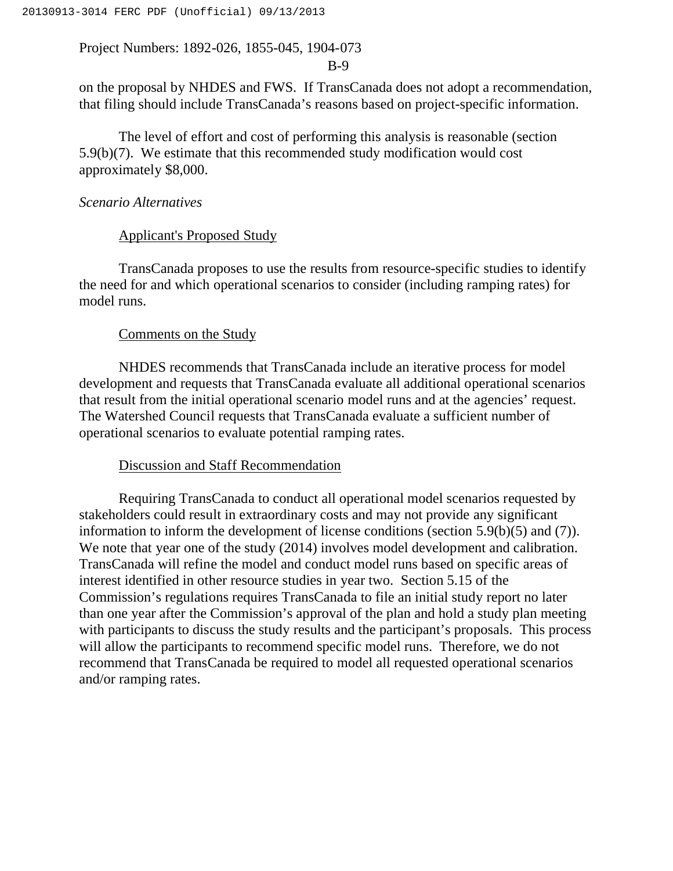#### B-9

on the proposal by NHDES and FWS. If TransCanada does not adopt a recommendation, that filing should include TransCanada's reasons based on project-specific information.

The level of effort and cost of performing this analysis is reasonable (section 5.9(b)(7). We estimate that this recommended study modification would cost approximately \$8,000.

#### *Scenario Alternatives*

#### Applicant's Proposed Study

TransCanada proposes to use the results from resource-specific studies to identify the need for and which operational scenarios to consider (including ramping rates) for model runs.

#### Comments on the Study

NHDES recommends that TransCanada include an iterative process for model development and requests that TransCanada evaluate all additional operational scenarios that result from the initial operational scenario model runs and at the agencies' request. The Watershed Council requests that TransCanada evaluate a sufficient number of operational scenarios to evaluate potential ramping rates.

#### Discussion and Staff Recommendation

Requiring TransCanada to conduct all operational model scenarios requested by stakeholders could result in extraordinary costs and may not provide any significant information to inform the development of license conditions (section 5.9(b)(5) and (7)). We note that year one of the study (2014) involves model development and calibration. TransCanada will refine the model and conduct model runs based on specific areas of interest identified in other resource studies in year two. Section 5.15 of the Commission's regulations requires TransCanada to file an initial study report no later than one year after the Commission's approval of the plan and hold a study plan meeting with participants to discuss the study results and the participant's proposals. This process will allow the participants to recommend specific model runs. Therefore, we do not recommend that TransCanada be required to model all requested operational scenarios and/or ramping rates.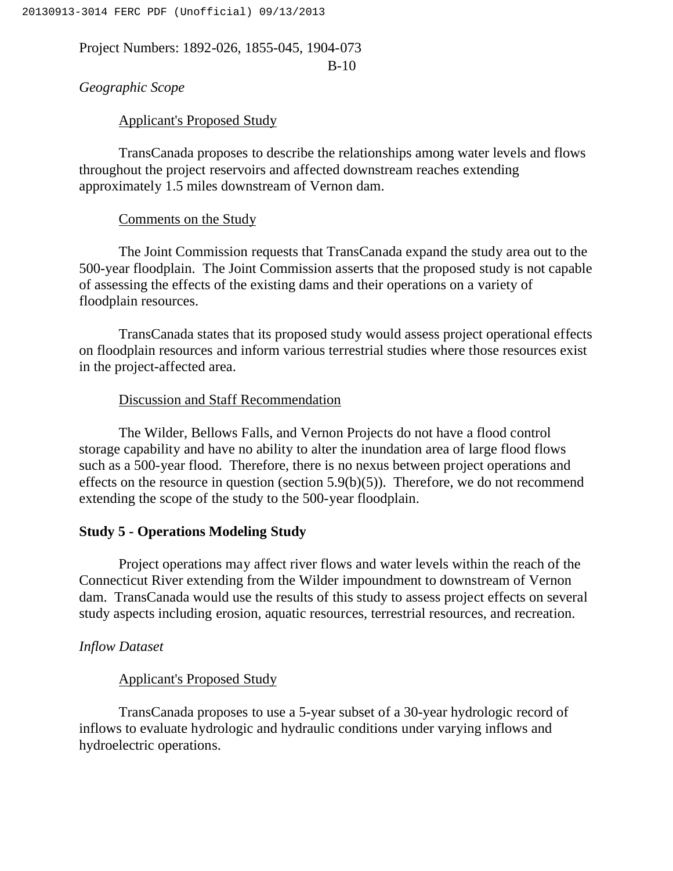B-10

## *Geographic Scope*

#### Applicant's Proposed Study

TransCanada proposes to describe the relationships among water levels and flows throughout the project reservoirs and affected downstream reaches extending approximately 1.5 miles downstream of Vernon dam.

#### Comments on the Study

The Joint Commission requests that TransCanada expand the study area out to the 500-year floodplain. The Joint Commission asserts that the proposed study is not capable of assessing the effects of the existing dams and their operations on a variety of floodplain resources.

TransCanada states that its proposed study would assess project operational effects on floodplain resources and inform various terrestrial studies where those resources exist in the project-affected area.

#### Discussion and Staff Recommendation

The Wilder, Bellows Falls, and Vernon Projects do not have a flood control storage capability and have no ability to alter the inundation area of large flood flows such as a 500-year flood. Therefore, there is no nexus between project operations and effects on the resource in question (section  $5.9(b)(5)$ ). Therefore, we do not recommend extending the scope of the study to the 500-year floodplain.

#### **Study 5 - Operations Modeling Study**

Project operations may affect river flows and water levels within the reach of the Connecticut River extending from the Wilder impoundment to downstream of Vernon dam. TransCanada would use the results of this study to assess project effects on several study aspects including erosion, aquatic resources, terrestrial resources, and recreation.

#### *Inflow Dataset*

#### Applicant's Proposed Study

TransCanada proposes to use a 5-year subset of a 30-year hydrologic record of inflows to evaluate hydrologic and hydraulic conditions under varying inflows and hydroelectric operations.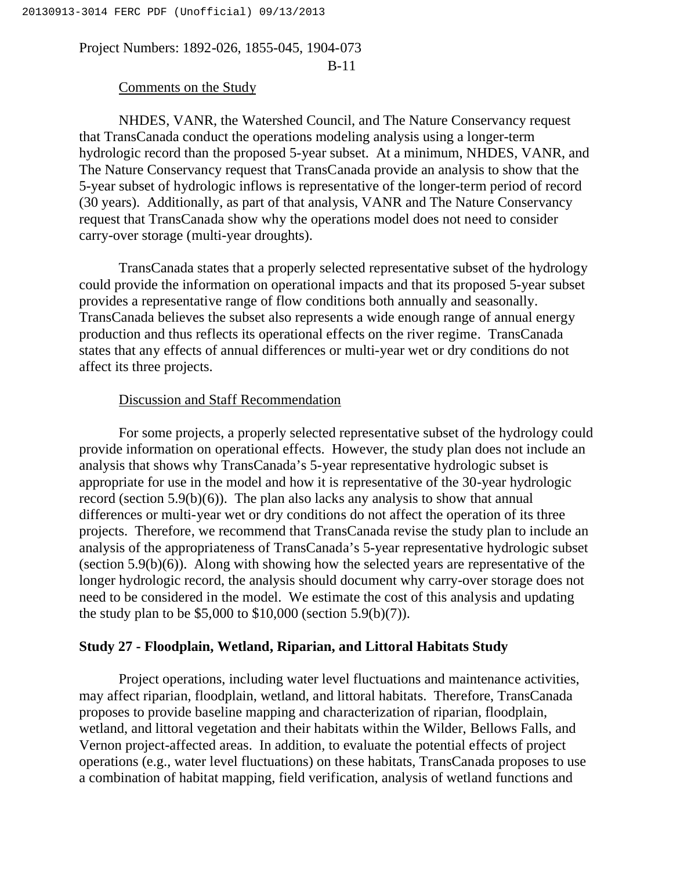## B-11

#### Comments on the Study

NHDES, VANR, the Watershed Council, and The Nature Conservancy request that TransCanada conduct the operations modeling analysis using a longer-term hydrologic record than the proposed 5-year subset. At a minimum, NHDES, VANR, and The Nature Conservancy request that TransCanada provide an analysis to show that the 5-year subset of hydrologic inflows is representative of the longer-term period of record (30 years). Additionally, as part of that analysis, VANR and The Nature Conservancy request that TransCanada show why the operations model does not need to consider carry-over storage (multi-year droughts).

TransCanada states that a properly selected representative subset of the hydrology could provide the information on operational impacts and that its proposed 5-year subset provides a representative range of flow conditions both annually and seasonally. TransCanada believes the subset also represents a wide enough range of annual energy production and thus reflects its operational effects on the river regime. TransCanada states that any effects of annual differences or multi-year wet or dry conditions do not affect its three projects.

#### Discussion and Staff Recommendation

For some projects, a properly selected representative subset of the hydrology could provide information on operational effects. However, the study plan does not include an analysis that shows why TransCanada's 5-year representative hydrologic subset is appropriate for use in the model and how it is representative of the 30-year hydrologic record (section 5.9(b)(6)). The plan also lacks any analysis to show that annual differences or multi-year wet or dry conditions do not affect the operation of its three projects. Therefore, we recommend that TransCanada revise the study plan to include an analysis of the appropriateness of TransCanada's 5-year representative hydrologic subset (section 5.9(b)(6)). Along with showing how the selected years are representative of the longer hydrologic record, the analysis should document why carry-over storage does not need to be considered in the model. We estimate the cost of this analysis and updating the study plan to be \$5,000 to \$10,000 (section 5.9(b)(7)).

#### **Study 27 - Floodplain, Wetland, Riparian, and Littoral Habitats Study**

Project operations, including water level fluctuations and maintenance activities, may affect riparian, floodplain, wetland, and littoral habitats. Therefore, TransCanada proposes to provide baseline mapping and characterization of riparian, floodplain, wetland, and littoral vegetation and their habitats within the Wilder, Bellows Falls, and Vernon project-affected areas. In addition, to evaluate the potential effects of project operations (e.g., water level fluctuations) on these habitats, TransCanada proposes to use a combination of habitat mapping, field verification, analysis of wetland functions and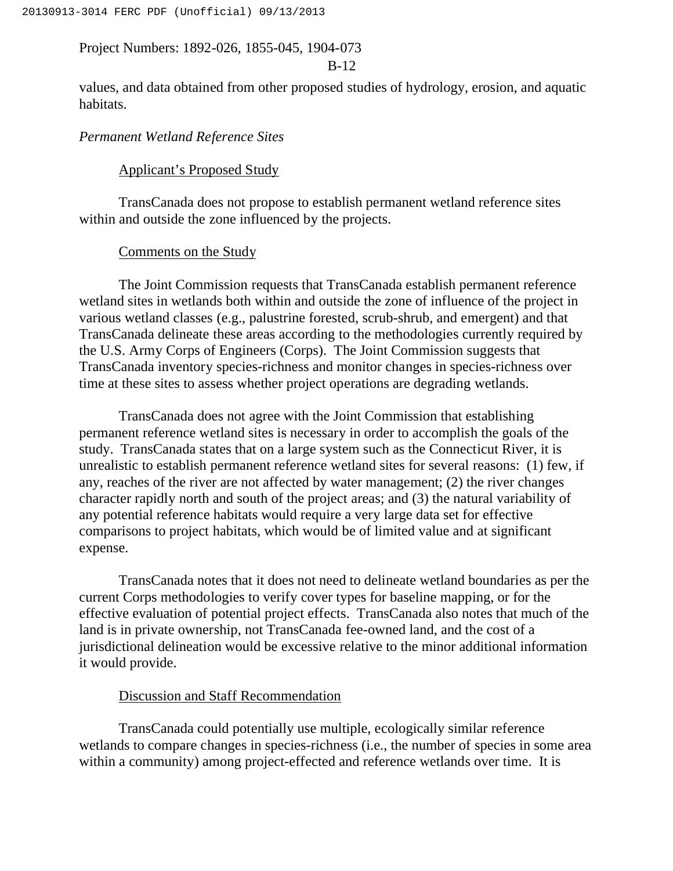#### B-12

values, and data obtained from other proposed studies of hydrology, erosion, and aquatic habitats.

#### *Permanent Wetland Reference Sites*

## Applicant's Proposed Study

TransCanada does not propose to establish permanent wetland reference sites within and outside the zone influenced by the projects.

#### Comments on the Study

The Joint Commission requests that TransCanada establish permanent reference wetland sites in wetlands both within and outside the zone of influence of the project in various wetland classes (e.g., palustrine forested, scrub-shrub, and emergent) and that TransCanada delineate these areas according to the methodologies currently required by the U.S. Army Corps of Engineers (Corps). The Joint Commission suggests that TransCanada inventory species-richness and monitor changes in species-richness over time at these sites to assess whether project operations are degrading wetlands.

TransCanada does not agree with the Joint Commission that establishing permanent reference wetland sites is necessary in order to accomplish the goals of the study. TransCanada states that on a large system such as the Connecticut River, it is unrealistic to establish permanent reference wetland sites for several reasons: (1) few, if any, reaches of the river are not affected by water management; (2) the river changes character rapidly north and south of the project areas; and (3) the natural variability of any potential reference habitats would require a very large data set for effective comparisons to project habitats, which would be of limited value and at significant expense.

TransCanada notes that it does not need to delineate wetland boundaries as per the current Corps methodologies to verify cover types for baseline mapping, or for the effective evaluation of potential project effects. TransCanada also notes that much of the land is in private ownership, not TransCanada fee-owned land, and the cost of a jurisdictional delineation would be excessive relative to the minor additional information it would provide.

#### Discussion and Staff Recommendation

TransCanada could potentially use multiple, ecologically similar reference wetlands to compare changes in species-richness (i.e., the number of species in some area within a community) among project-effected and reference wetlands over time. It is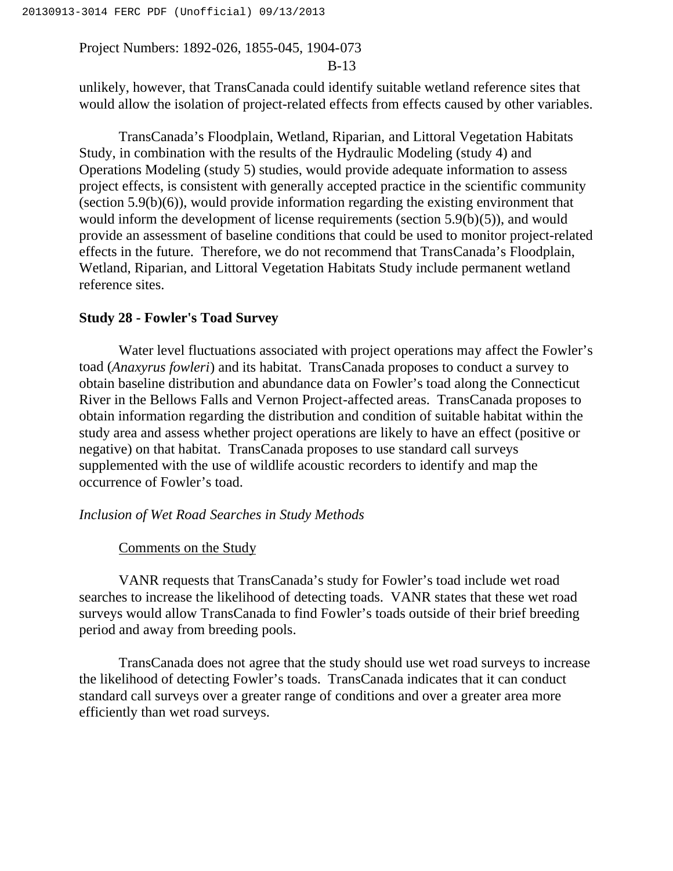#### B-13

unlikely, however, that TransCanada could identify suitable wetland reference sites that would allow the isolation of project-related effects from effects caused by other variables.

TransCanada's Floodplain, Wetland, Riparian, and Littoral Vegetation Habitats Study, in combination with the results of the Hydraulic Modeling (study 4) and Operations Modeling (study 5) studies, would provide adequate information to assess project effects, is consistent with generally accepted practice in the scientific community (section 5.9(b)(6)), would provide information regarding the existing environment that would inform the development of license requirements (section 5.9(b)(5)), and would provide an assessment of baseline conditions that could be used to monitor project-related effects in the future. Therefore, we do not recommend that TransCanada's Floodplain, Wetland, Riparian, and Littoral Vegetation Habitats Study include permanent wetland reference sites.

#### **Study 28 - Fowler's Toad Survey**

Water level fluctuations associated with project operations may affect the Fowler's toad (*Anaxyrus fowleri*) and its habitat. TransCanada proposes to conduct a survey to obtain baseline distribution and abundance data on Fowler's toad along the Connecticut River in the Bellows Falls and Vernon Project-affected areas. TransCanada proposes to obtain information regarding the distribution and condition of suitable habitat within the study area and assess whether project operations are likely to have an effect (positive or negative) on that habitat. TransCanada proposes to use standard call surveys supplemented with the use of wildlife acoustic recorders to identify and map the occurrence of Fowler's toad.

#### *Inclusion of Wet Road Searches in Study Methods*

#### Comments on the Study

VANR requests that TransCanada's study for Fowler's toad include wet road searches to increase the likelihood of detecting toads. VANR states that these wet road surveys would allow TransCanada to find Fowler's toads outside of their brief breeding period and away from breeding pools.

TransCanada does not agree that the study should use wet road surveys to increase the likelihood of detecting Fowler's toads. TransCanada indicates that it can conduct standard call surveys over a greater range of conditions and over a greater area more efficiently than wet road surveys.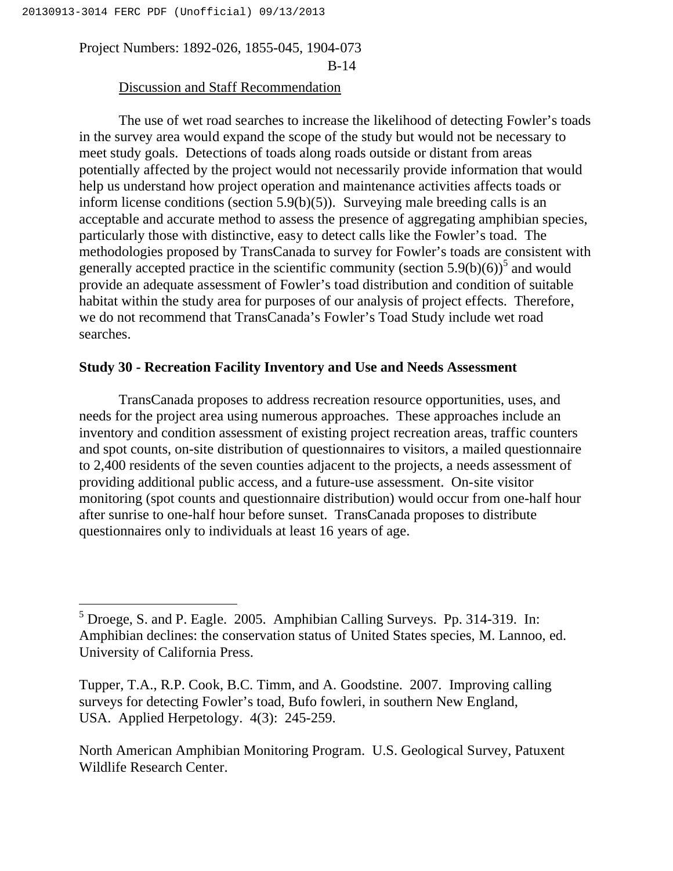$\overline{a}$ 

Project Numbers: 1892-026, 1855-045, 1904-073 B-14

Discussion and Staff Recommendation

The use of wet road searches to increase the likelihood of detecting Fowler's toads in the survey area would expand the scope of the study but would not be necessary to meet study goals. Detections of toads along roads outside or distant from areas potentially affected by the project would not necessarily provide information that would help us understand how project operation and maintenance activities affects toads or inform license conditions (section 5.9(b)(5)). Surveying male breeding calls is an acceptable and accurate method to assess the presence of aggregating amphibian species, particularly those with distinctive, easy to detect calls like the Fowler's toad. The methodologies proposed by TransCanada to survey for Fowler's toads are consistent with generally accepted practice in the scientific community (section  $5.9(b)(6)$ )<sup>5</sup> and would provide an adequate assessment of Fowler's toad distribution and condition of suitable habitat within the study area for purposes of our analysis of project effects. Therefore, we do not recommend that TransCanada's Fowler's Toad Study include wet road searches.

#### **Study 30 - Recreation Facility Inventory and Use and Needs Assessment**

TransCanada proposes to address recreation resource opportunities, uses, and needs for the project area using numerous approaches. These approaches include an inventory and condition assessment of existing project recreation areas, traffic counters and spot counts, on-site distribution of questionnaires to visitors, a mailed questionnaire to 2,400 residents of the seven counties adjacent to the projects, a needs assessment of providing additional public access, and a future-use assessment. On-site visitor monitoring (spot counts and questionnaire distribution) would occur from one-half hour after sunrise to one-half hour before sunset. TransCanada proposes to distribute questionnaires only to individuals at least 16 years of age.

 $<sup>5</sup>$  Droege, S. and P. Eagle. 2005. Amphibian Calling Surveys. Pp. 314-319. In:</sup> Amphibian declines: the conservation status of United States species, M. Lannoo, ed. University of California Press.

Tupper, T.A., R.P. Cook, B.C. Timm, and A. Goodstine. 2007. Improving calling surveys for detecting Fowler's toad, Bufo fowleri, in southern New England, USA. Applied Herpetology. 4(3): 245-259.

North American Amphibian Monitoring Program. U.S. Geological Survey, Patuxent Wildlife Research Center.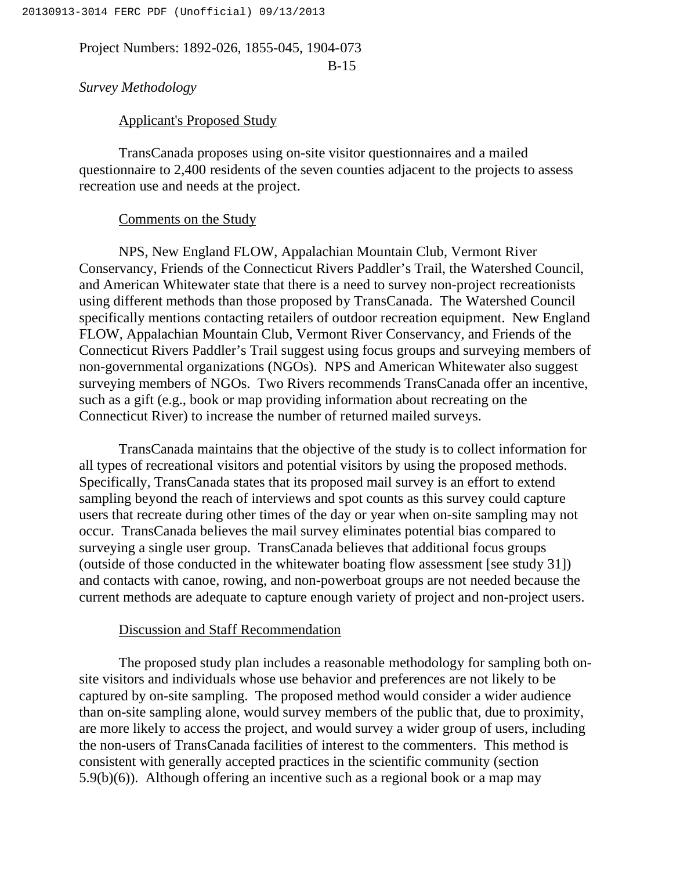B-15

*Survey Methodology*

#### Applicant's Proposed Study

TransCanada proposes using on-site visitor questionnaires and a mailed questionnaire to 2,400 residents of the seven counties adjacent to the projects to assess recreation use and needs at the project.

#### Comments on the Study

NPS, New England FLOW, Appalachian Mountain Club, Vermont River Conservancy, Friends of the Connecticut Rivers Paddler's Trail, the Watershed Council, and American Whitewater state that there is a need to survey non-project recreationists using different methods than those proposed by TransCanada. The Watershed Council specifically mentions contacting retailers of outdoor recreation equipment. New England FLOW, Appalachian Mountain Club, Vermont River Conservancy, and Friends of the Connecticut Rivers Paddler's Trail suggest using focus groups and surveying members of non-governmental organizations (NGOs). NPS and American Whitewater also suggest surveying members of NGOs. Two Rivers recommends TransCanada offer an incentive, such as a gift (e.g., book or map providing information about recreating on the Connecticut River) to increase the number of returned mailed surveys.

TransCanada maintains that the objective of the study is to collect information for all types of recreational visitors and potential visitors by using the proposed methods. Specifically, TransCanada states that its proposed mail survey is an effort to extend sampling beyond the reach of interviews and spot counts as this survey could capture users that recreate during other times of the day or year when on-site sampling may not occur. TransCanada believes the mail survey eliminates potential bias compared to surveying a single user group. TransCanada believes that additional focus groups (outside of those conducted in the whitewater boating flow assessment [see study 31]) and contacts with canoe, rowing, and non-powerboat groups are not needed because the current methods are adequate to capture enough variety of project and non-project users.

## Discussion and Staff Recommendation

The proposed study plan includes a reasonable methodology for sampling both onsite visitors and individuals whose use behavior and preferences are not likely to be captured by on-site sampling. The proposed method would consider a wider audience than on-site sampling alone, would survey members of the public that, due to proximity, are more likely to access the project, and would survey a wider group of users, including the non-users of TransCanada facilities of interest to the commenters. This method is consistent with generally accepted practices in the scientific community (section 5.9(b)(6)). Although offering an incentive such as a regional book or a map may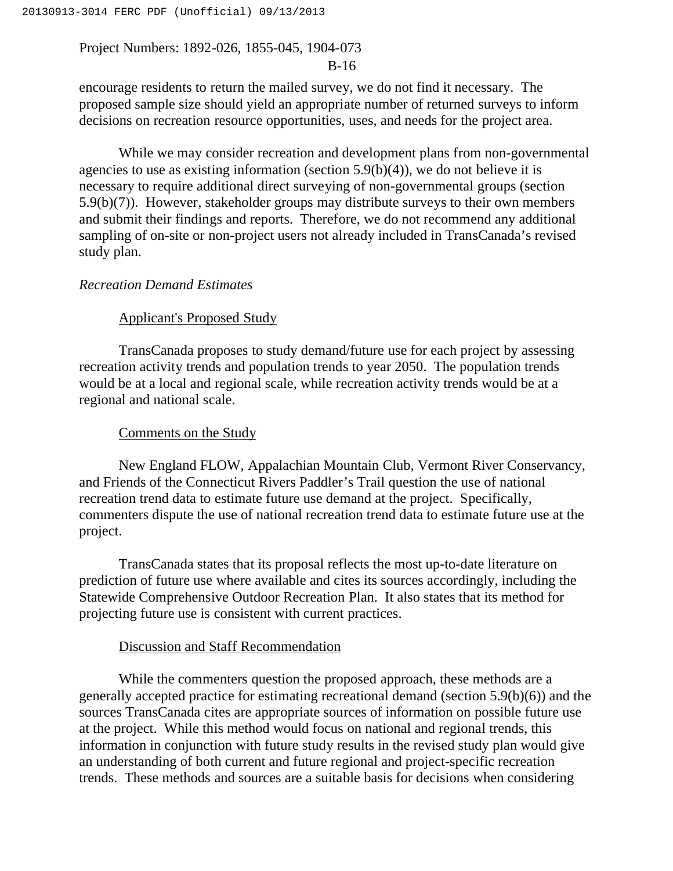#### B-16

encourage residents to return the mailed survey, we do not find it necessary. The proposed sample size should yield an appropriate number of returned surveys to inform decisions on recreation resource opportunities, uses, and needs for the project area.

While we may consider recreation and development plans from non-governmental agencies to use as existing information (section 5.9(b)(4)), we do not believe it is necessary to require additional direct surveying of non-governmental groups (section 5.9(b)(7)). However, stakeholder groups may distribute surveys to their own members and submit their findings and reports. Therefore, we do not recommend any additional sampling of on-site or non-project users not already included in TransCanada's revised study plan.

#### *Recreation Demand Estimates*

#### Applicant's Proposed Study

TransCanada proposes to study demand/future use for each project by assessing recreation activity trends and population trends to year 2050. The population trends would be at a local and regional scale, while recreation activity trends would be at a regional and national scale.

#### Comments on the Study

New England FLOW, Appalachian Mountain Club, Vermont River Conservancy, and Friends of the Connecticut Rivers Paddler's Trail question the use of national recreation trend data to estimate future use demand at the project. Specifically, commenters dispute the use of national recreation trend data to estimate future use at the project.

TransCanada states that its proposal reflects the most up-to-date literature on prediction of future use where available and cites its sources accordingly, including the Statewide Comprehensive Outdoor Recreation Plan. It also states that its method for projecting future use is consistent with current practices.

#### Discussion and Staff Recommendation

While the commenters question the proposed approach, these methods are a generally accepted practice for estimating recreational demand (section 5.9(b)(6)) and the sources TransCanada cites are appropriate sources of information on possible future use at the project. While this method would focus on national and regional trends, this information in conjunction with future study results in the revised study plan would give an understanding of both current and future regional and project-specific recreation trends. These methods and sources are a suitable basis for decisions when considering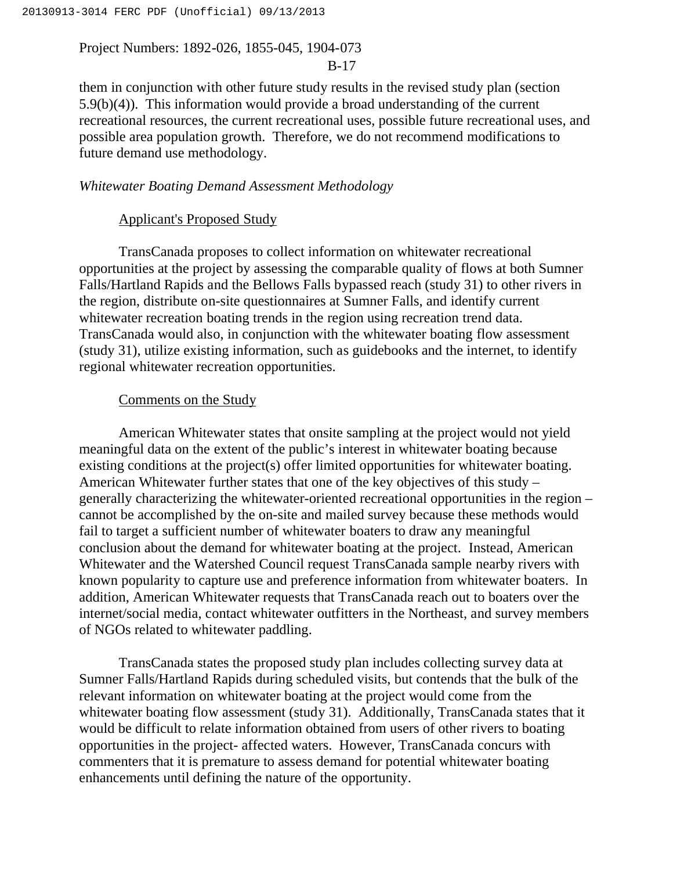#### B-17

them in conjunction with other future study results in the revised study plan (section 5.9(b)(4)). This information would provide a broad understanding of the current recreational resources, the current recreational uses, possible future recreational uses, and possible area population growth. Therefore, we do not recommend modifications to future demand use methodology.

#### *Whitewater Boating Demand Assessment Methodology*

#### Applicant's Proposed Study

TransCanada proposes to collect information on whitewater recreational opportunities at the project by assessing the comparable quality of flows at both Sumner Falls/Hartland Rapids and the Bellows Falls bypassed reach (study 31) to other rivers in the region, distribute on-site questionnaires at Sumner Falls, and identify current whitewater recreation boating trends in the region using recreation trend data. TransCanada would also, in conjunction with the whitewater boating flow assessment (study 31), utilize existing information, such as guidebooks and the internet, to identify regional whitewater recreation opportunities.

#### Comments on the Study

American Whitewater states that onsite sampling at the project would not yield meaningful data on the extent of the public's interest in whitewater boating because existing conditions at the project(s) offer limited opportunities for whitewater boating. American Whitewater further states that one of the key objectives of this study – generally characterizing the whitewater-oriented recreational opportunities in the region – cannot be accomplished by the on-site and mailed survey because these methods would fail to target a sufficient number of whitewater boaters to draw any meaningful conclusion about the demand for whitewater boating at the project. Instead, American Whitewater and the Watershed Council request TransCanada sample nearby rivers with known popularity to capture use and preference information from whitewater boaters. In addition, American Whitewater requests that TransCanada reach out to boaters over the internet/social media, contact whitewater outfitters in the Northeast, and survey members of NGOs related to whitewater paddling.

TransCanada states the proposed study plan includes collecting survey data at Sumner Falls/Hartland Rapids during scheduled visits, but contends that the bulk of the relevant information on whitewater boating at the project would come from the whitewater boating flow assessment (study 31). Additionally, TransCanada states that it would be difficult to relate information obtained from users of other rivers to boating opportunities in the project- affected waters. However, TransCanada concurs with commenters that it is premature to assess demand for potential whitewater boating enhancements until defining the nature of the opportunity.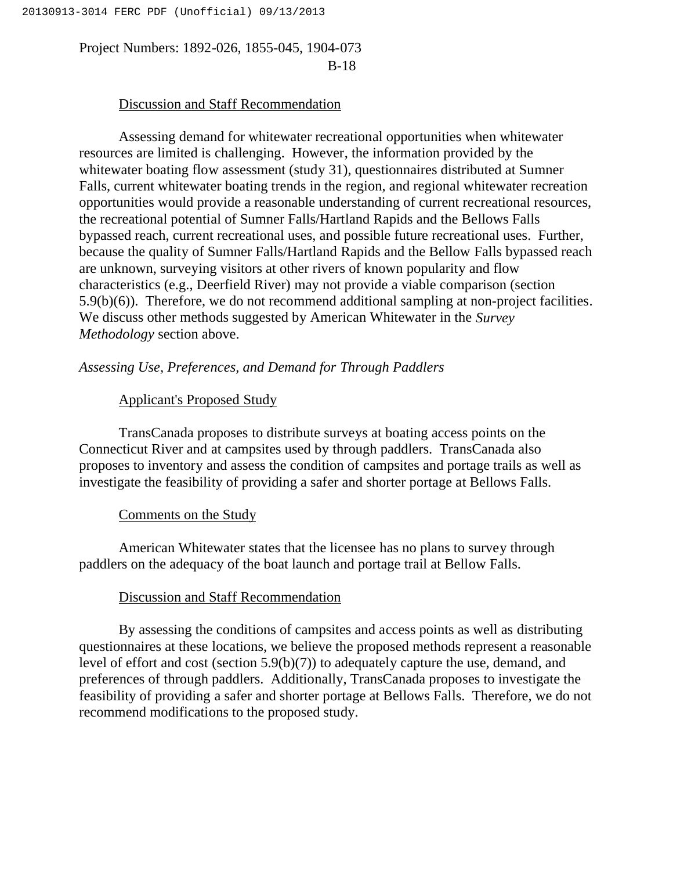#### Discussion and Staff Recommendation

Assessing demand for whitewater recreational opportunities when whitewater resources are limited is challenging. However, the information provided by the whitewater boating flow assessment (study 31), questionnaires distributed at Sumner Falls, current whitewater boating trends in the region, and regional whitewater recreation opportunities would provide a reasonable understanding of current recreational resources, the recreational potential of Sumner Falls/Hartland Rapids and the Bellows Falls bypassed reach, current recreational uses, and possible future recreational uses. Further, because the quality of Sumner Falls/Hartland Rapids and the Bellow Falls bypassed reach are unknown, surveying visitors at other rivers of known popularity and flow characteristics (e.g., Deerfield River) may not provide a viable comparison (section 5.9(b)(6)). Therefore, we do not recommend additional sampling at non-project facilities. We discuss other methods suggested by American Whitewater in the *Survey Methodology* section above.

## *Assessing Use, Preferences, and Demand for Through Paddlers*

#### Applicant's Proposed Study

TransCanada proposes to distribute surveys at boating access points on the Connecticut River and at campsites used by through paddlers. TransCanada also proposes to inventory and assess the condition of campsites and portage trails as well as investigate the feasibility of providing a safer and shorter portage at Bellows Falls.

#### Comments on the Study

American Whitewater states that the licensee has no plans to survey through paddlers on the adequacy of the boat launch and portage trail at Bellow Falls.

#### Discussion and Staff Recommendation

By assessing the conditions of campsites and access points as well as distributing questionnaires at these locations, we believe the proposed methods represent a reasonable level of effort and cost (section 5.9(b)(7)) to adequately capture the use, demand, and preferences of through paddlers. Additionally, TransCanada proposes to investigate the feasibility of providing a safer and shorter portage at Bellows Falls. Therefore, we do not recommend modifications to the proposed study.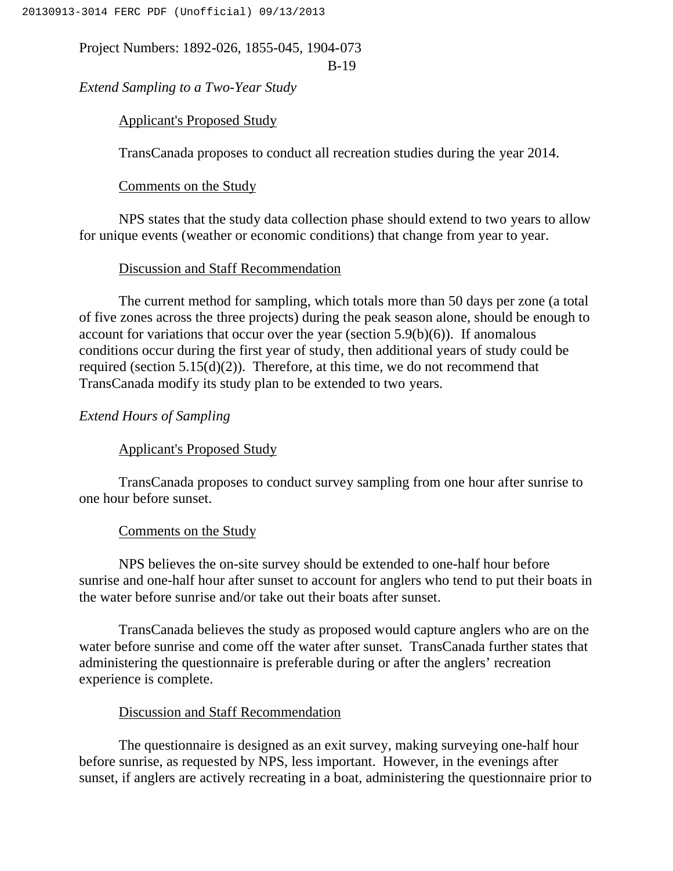B-19

*Extend Sampling to a Two-Year Study*

Applicant's Proposed Study

TransCanada proposes to conduct all recreation studies during the year 2014.

Comments on the Study

NPS states that the study data collection phase should extend to two years to allow for unique events (weather or economic conditions) that change from year to year.

## Discussion and Staff Recommendation

The current method for sampling, which totals more than 50 days per zone (a total of five zones across the three projects) during the peak season alone, should be enough to account for variations that occur over the year (section  $5.9(b)(6)$ ). If anomalous conditions occur during the first year of study, then additional years of study could be required (section  $5.15(d)(2)$ ). Therefore, at this time, we do not recommend that TransCanada modify its study plan to be extended to two years.

## *Extend Hours of Sampling*

## Applicant's Proposed Study

TransCanada proposes to conduct survey sampling from one hour after sunrise to one hour before sunset.

## Comments on the Study

NPS believes the on-site survey should be extended to one-half hour before sunrise and one-half hour after sunset to account for anglers who tend to put their boats in the water before sunrise and/or take out their boats after sunset.

TransCanada believes the study as proposed would capture anglers who are on the water before sunrise and come off the water after sunset. TransCanada further states that administering the questionnaire is preferable during or after the anglers' recreation experience is complete.

## Discussion and Staff Recommendation

The questionnaire is designed as an exit survey, making surveying one-half hour before sunrise, as requested by NPS, less important. However, in the evenings after sunset, if anglers are actively recreating in a boat, administering the questionnaire prior to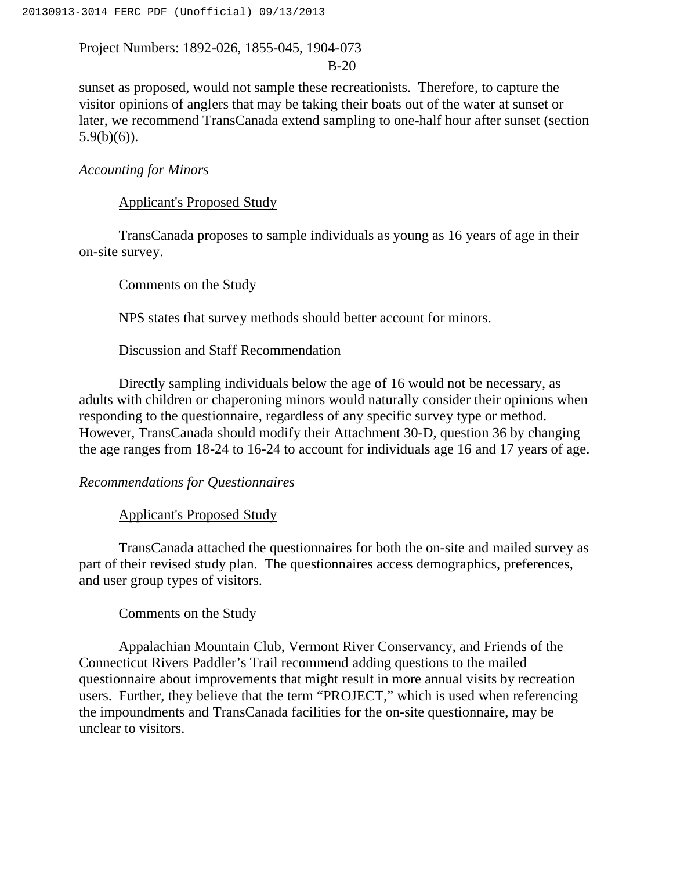## B-20

sunset as proposed, would not sample these recreationists. Therefore, to capture the visitor opinions of anglers that may be taking their boats out of the water at sunset or later, we recommend TransCanada extend sampling to one-half hour after sunset (section  $5.9(b)(6)$ ).

## *Accounting for Minors*

## Applicant's Proposed Study

TransCanada proposes to sample individuals as young as 16 years of age in their on-site survey.

## Comments on the Study

NPS states that survey methods should better account for minors.

## Discussion and Staff Recommendation

Directly sampling individuals below the age of 16 would not be necessary, as adults with children or chaperoning minors would naturally consider their opinions when responding to the questionnaire, regardless of any specific survey type or method. However, TransCanada should modify their Attachment 30-D, question 36 by changing the age ranges from 18-24 to 16-24 to account for individuals age 16 and 17 years of age.

## *Recommendations for Questionnaires*

## Applicant's Proposed Study

TransCanada attached the questionnaires for both the on-site and mailed survey as part of their revised study plan. The questionnaires access demographics, preferences, and user group types of visitors.

## Comments on the Study

Appalachian Mountain Club, Vermont River Conservancy, and Friends of the Connecticut Rivers Paddler's Trail recommend adding questions to the mailed questionnaire about improvements that might result in more annual visits by recreation users. Further, they believe that the term "PROJECT," which is used when referencing the impoundments and TransCanada facilities for the on-site questionnaire, may be unclear to visitors.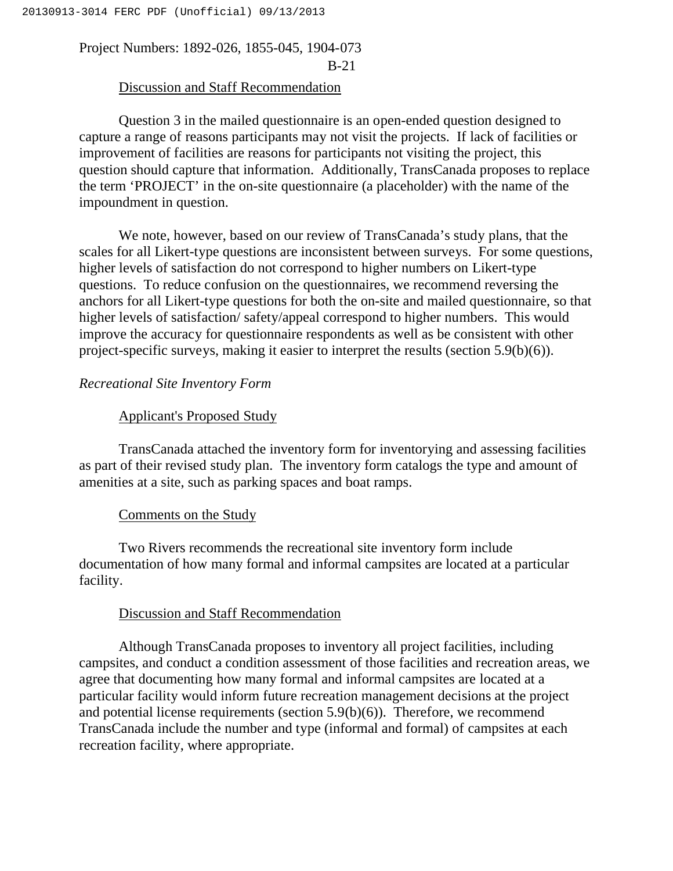#### Discussion and Staff Recommendation

Question 3 in the mailed questionnaire is an open-ended question designed to capture a range of reasons participants may not visit the projects. If lack of facilities or improvement of facilities are reasons for participants not visiting the project, this question should capture that information. Additionally, TransCanada proposes to replace the term 'PROJECT' in the on-site questionnaire (a placeholder) with the name of the impoundment in question.

We note, however, based on our review of TransCanada's study plans, that the scales for all Likert-type questions are inconsistent between surveys. For some questions, higher levels of satisfaction do not correspond to higher numbers on Likert-type questions. To reduce confusion on the questionnaires, we recommend reversing the anchors for all Likert-type questions for both the on-site and mailed questionnaire, so that higher levels of satisfaction/ safety/appeal correspond to higher numbers. This would improve the accuracy for questionnaire respondents as well as be consistent with other project-specific surveys, making it easier to interpret the results (section 5.9(b)(6)).

#### *Recreational Site Inventory Form*

#### Applicant's Proposed Study

TransCanada attached the inventory form for inventorying and assessing facilities as part of their revised study plan. The inventory form catalogs the type and amount of amenities at a site, such as parking spaces and boat ramps.

#### Comments on the Study

Two Rivers recommends the recreational site inventory form include documentation of how many formal and informal campsites are located at a particular facility.

#### Discussion and Staff Recommendation

Although TransCanada proposes to inventory all project facilities, including campsites, and conduct a condition assessment of those facilities and recreation areas, we agree that documenting how many formal and informal campsites are located at a particular facility would inform future recreation management decisions at the project and potential license requirements (section 5.9(b)(6)). Therefore, we recommend TransCanada include the number and type (informal and formal) of campsites at each recreation facility, where appropriate.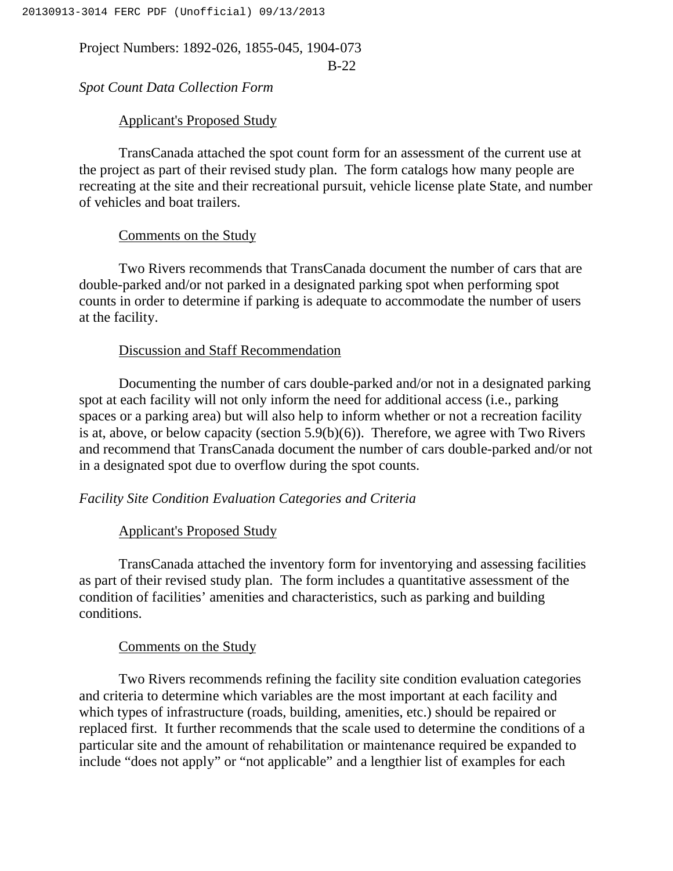B-22

## *Spot Count Data Collection Form*

#### Applicant's Proposed Study

TransCanada attached the spot count form for an assessment of the current use at the project as part of their revised study plan. The form catalogs how many people are recreating at the site and their recreational pursuit, vehicle license plate State, and number of vehicles and boat trailers.

#### Comments on the Study

Two Rivers recommends that TransCanada document the number of cars that are double-parked and/or not parked in a designated parking spot when performing spot counts in order to determine if parking is adequate to accommodate the number of users at the facility.

#### Discussion and Staff Recommendation

Documenting the number of cars double-parked and/or not in a designated parking spot at each facility will not only inform the need for additional access (i.e., parking spaces or a parking area) but will also help to inform whether or not a recreation facility is at, above, or below capacity (section  $5.9(b)(6)$ ). Therefore, we agree with Two Rivers and recommend that TransCanada document the number of cars double-parked and/or not in a designated spot due to overflow during the spot counts.

#### *Facility Site Condition Evaluation Categories and Criteria*

#### Applicant's Proposed Study

TransCanada attached the inventory form for inventorying and assessing facilities as part of their revised study plan. The form includes a quantitative assessment of the condition of facilities' amenities and characteristics, such as parking and building conditions.

#### Comments on the Study

Two Rivers recommends refining the facility site condition evaluation categories and criteria to determine which variables are the most important at each facility and which types of infrastructure (roads, building, amenities, etc.) should be repaired or replaced first. It further recommends that the scale used to determine the conditions of a particular site and the amount of rehabilitation or maintenance required be expanded to include "does not apply" or "not applicable" and a lengthier list of examples for each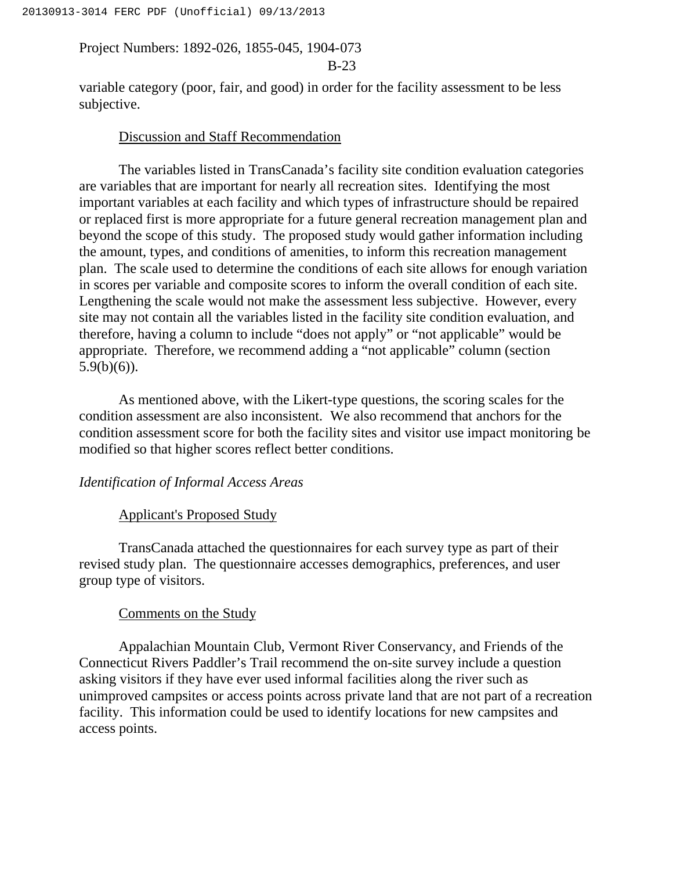## B-23

variable category (poor, fair, and good) in order for the facility assessment to be less subjective.

#### Discussion and Staff Recommendation

The variables listed in TransCanada's facility site condition evaluation categories are variables that are important for nearly all recreation sites. Identifying the most important variables at each facility and which types of infrastructure should be repaired or replaced first is more appropriate for a future general recreation management plan and beyond the scope of this study. The proposed study would gather information including the amount, types, and conditions of amenities, to inform this recreation management plan. The scale used to determine the conditions of each site allows for enough variation in scores per variable and composite scores to inform the overall condition of each site. Lengthening the scale would not make the assessment less subjective. However, every site may not contain all the variables listed in the facility site condition evaluation, and therefore, having a column to include "does not apply" or "not applicable" would be appropriate. Therefore, we recommend adding a "not applicable" column (section  $5.9(b)(6)$ ).

As mentioned above, with the Likert-type questions, the scoring scales for the condition assessment are also inconsistent. We also recommend that anchors for the condition assessment score for both the facility sites and visitor use impact monitoring be modified so that higher scores reflect better conditions.

#### *Identification of Informal Access Areas*

#### Applicant's Proposed Study

TransCanada attached the questionnaires for each survey type as part of their revised study plan. The questionnaire accesses demographics, preferences, and user group type of visitors.

#### Comments on the Study

Appalachian Mountain Club, Vermont River Conservancy, and Friends of the Connecticut Rivers Paddler's Trail recommend the on-site survey include a question asking visitors if they have ever used informal facilities along the river such as unimproved campsites or access points across private land that are not part of a recreation facility. This information could be used to identify locations for new campsites and access points.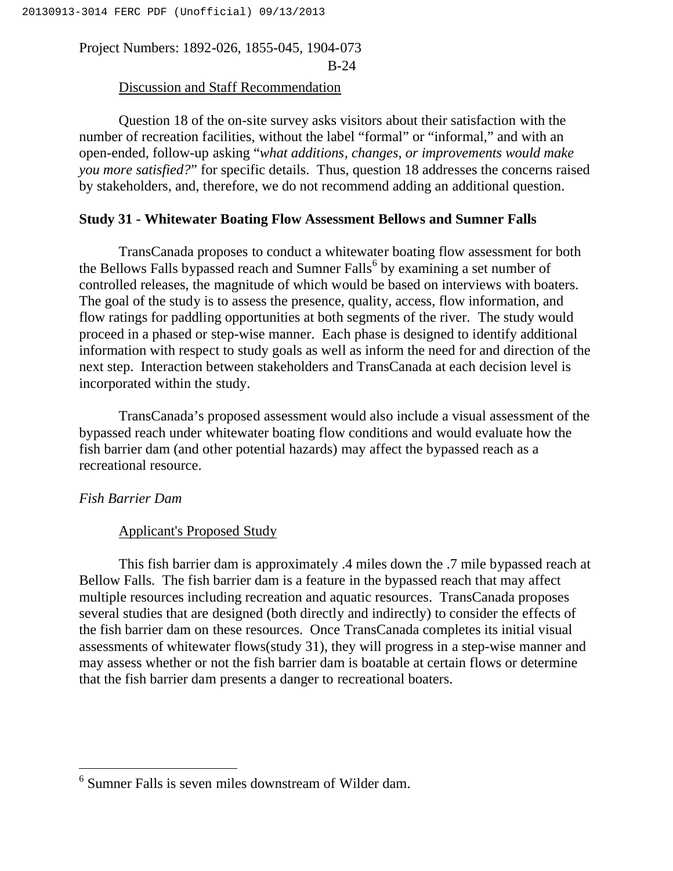#### Discussion and Staff Recommendation

Question 18 of the on-site survey asks visitors about their satisfaction with the number of recreation facilities, without the label "formal" or "informal," and with an open-ended, follow-up asking "*what additions, changes, or improvements would make you more satisfied?*" for specific details. Thus, question 18 addresses the concerns raised by stakeholders, and, therefore, we do not recommend adding an additional question.

#### **Study 31 - Whitewater Boating Flow Assessment Bellows and Sumner Falls**

TransCanada proposes to conduct a whitewater boating flow assessment for both the Bellows Falls bypassed reach and Sumner Falls<sup>6</sup> by examining a set number of controlled releases, the magnitude of which would be based on interviews with boaters. The goal of the study is to assess the presence, quality, access, flow information, and flow ratings for paddling opportunities at both segments of the river. The study would proceed in a phased or step-wise manner. Each phase is designed to identify additional information with respect to study goals as well as inform the need for and direction of the next step. Interaction between stakeholders and TransCanada at each decision level is incorporated within the study.

TransCanada's proposed assessment would also include a visual assessment of the bypassed reach under whitewater boating flow conditions and would evaluate how the fish barrier dam (and other potential hazards) may affect the bypassed reach as a recreational resource.

#### *Fish Barrier Dam*

 $\overline{a}$ 

#### Applicant's Proposed Study

This fish barrier dam is approximately .4 miles down the .7 mile bypassed reach at Bellow Falls. The fish barrier dam is a feature in the bypassed reach that may affect multiple resources including recreation and aquatic resources. TransCanada proposes several studies that are designed (both directly and indirectly) to consider the effects of the fish barrier dam on these resources. Once TransCanada completes its initial visual assessments of whitewater flows(study 31), they will progress in a step-wise manner and may assess whether or not the fish barrier dam is boatable at certain flows or determine that the fish barrier dam presents a danger to recreational boaters.

<sup>&</sup>lt;sup>6</sup> Sumner Falls is seven miles downstream of Wilder dam.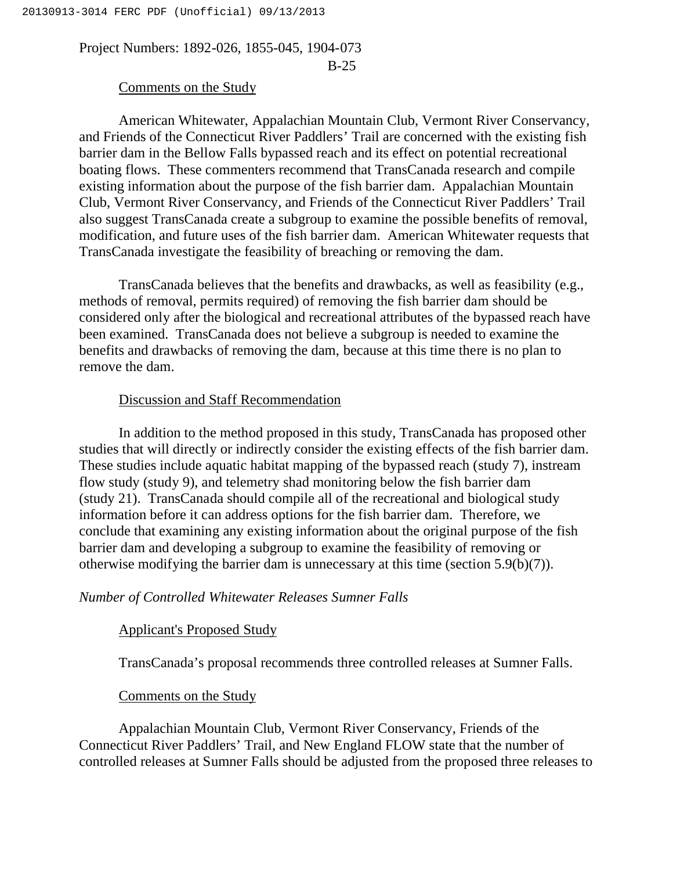#### B-25

#### Comments on the Study

American Whitewater, Appalachian Mountain Club, Vermont River Conservancy, and Friends of the Connecticut River Paddlers' Trail are concerned with the existing fish barrier dam in the Bellow Falls bypassed reach and its effect on potential recreational boating flows. These commenters recommend that TransCanada research and compile existing information about the purpose of the fish barrier dam. Appalachian Mountain Club, Vermont River Conservancy, and Friends of the Connecticut River Paddlers' Trail also suggest TransCanada create a subgroup to examine the possible benefits of removal, modification, and future uses of the fish barrier dam. American Whitewater requests that TransCanada investigate the feasibility of breaching or removing the dam.

TransCanada believes that the benefits and drawbacks, as well as feasibility (e.g., methods of removal, permits required) of removing the fish barrier dam should be considered only after the biological and recreational attributes of the bypassed reach have been examined. TransCanada does not believe a subgroup is needed to examine the benefits and drawbacks of removing the dam, because at this time there is no plan to remove the dam.

#### Discussion and Staff Recommendation

In addition to the method proposed in this study, TransCanada has proposed other studies that will directly or indirectly consider the existing effects of the fish barrier dam. These studies include aquatic habitat mapping of the bypassed reach (study 7), instream flow study (study 9), and telemetry shad monitoring below the fish barrier dam (study 21). TransCanada should compile all of the recreational and biological study information before it can address options for the fish barrier dam. Therefore, we conclude that examining any existing information about the original purpose of the fish barrier dam and developing a subgroup to examine the feasibility of removing or otherwise modifying the barrier dam is unnecessary at this time (section 5.9(b)(7)).

#### *Number of Controlled Whitewater Releases Sumner Falls*

## Applicant's Proposed Study

TransCanada's proposal recommends three controlled releases at Sumner Falls.

#### Comments on the Study

Appalachian Mountain Club, Vermont River Conservancy, Friends of the Connecticut River Paddlers' Trail, and New England FLOW state that the number of controlled releases at Sumner Falls should be adjusted from the proposed three releases to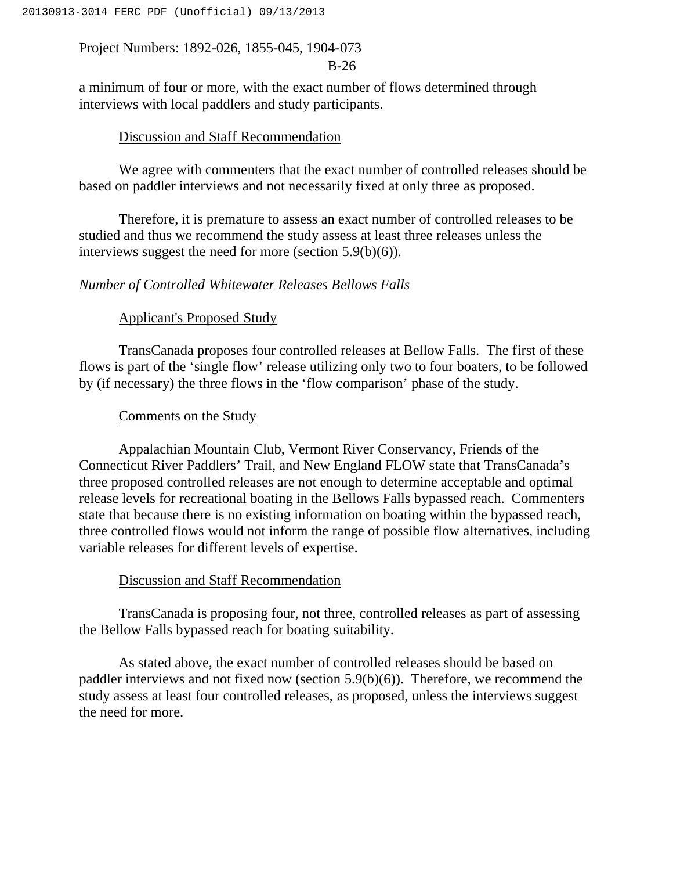B-26

a minimum of four or more, with the exact number of flows determined through interviews with local paddlers and study participants.

#### Discussion and Staff Recommendation

We agree with commenters that the exact number of controlled releases should be based on paddler interviews and not necessarily fixed at only three as proposed.

Therefore, it is premature to assess an exact number of controlled releases to be studied and thus we recommend the study assess at least three releases unless the interviews suggest the need for more (section 5.9(b)(6)).

#### *Number of Controlled Whitewater Releases Bellows Falls*

#### Applicant's Proposed Study

TransCanada proposes four controlled releases at Bellow Falls. The first of these flows is part of the 'single flow' release utilizing only two to four boaters, to be followed by (if necessary) the three flows in the 'flow comparison' phase of the study.

#### Comments on the Study

Appalachian Mountain Club, Vermont River Conservancy, Friends of the Connecticut River Paddlers' Trail, and New England FLOW state that TransCanada's three proposed controlled releases are not enough to determine acceptable and optimal release levels for recreational boating in the Bellows Falls bypassed reach. Commenters state that because there is no existing information on boating within the bypassed reach, three controlled flows would not inform the range of possible flow alternatives, including variable releases for different levels of expertise.

#### Discussion and Staff Recommendation

TransCanada is proposing four, not three, controlled releases as part of assessing the Bellow Falls bypassed reach for boating suitability.

As stated above, the exact number of controlled releases should be based on paddler interviews and not fixed now (section 5.9(b)(6)). Therefore, we recommend the study assess at least four controlled releases, as proposed, unless the interviews suggest the need for more.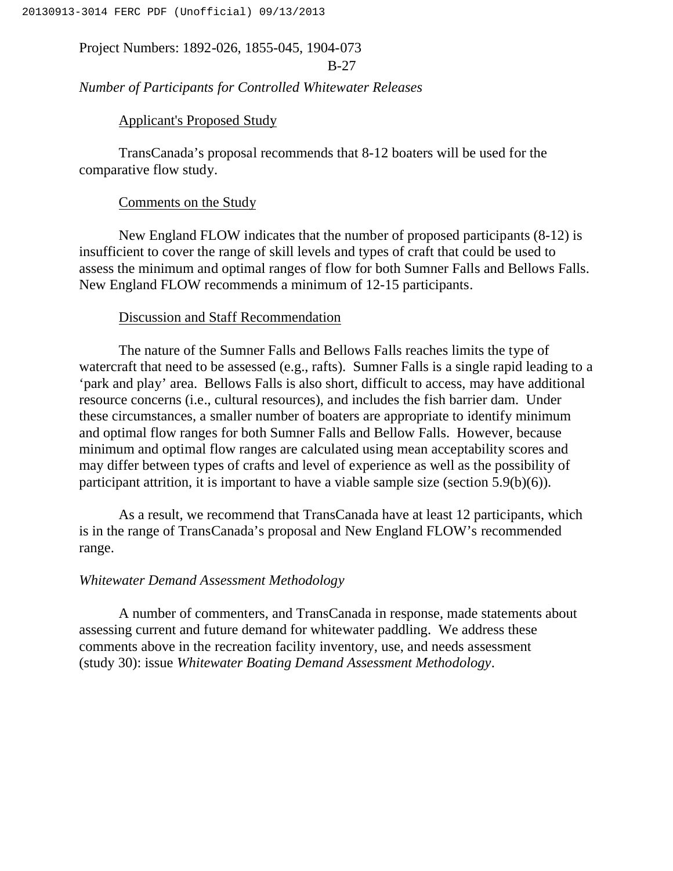#### B-27

*Number of Participants for Controlled Whitewater Releases*

Applicant's Proposed Study

TransCanada's proposal recommends that 8-12 boaters will be used for the comparative flow study.

## Comments on the Study

New England FLOW indicates that the number of proposed participants (8-12) is insufficient to cover the range of skill levels and types of craft that could be used to assess the minimum and optimal ranges of flow for both Sumner Falls and Bellows Falls. New England FLOW recommends a minimum of 12-15 participants.

#### Discussion and Staff Recommendation

The nature of the Sumner Falls and Bellows Falls reaches limits the type of watercraft that need to be assessed (e.g., rafts). Sumner Falls is a single rapid leading to a 'park and play' area. Bellows Falls is also short, difficult to access, may have additional resource concerns (i.e., cultural resources), and includes the fish barrier dam. Under these circumstances, a smaller number of boaters are appropriate to identify minimum and optimal flow ranges for both Sumner Falls and Bellow Falls. However, because minimum and optimal flow ranges are calculated using mean acceptability scores and may differ between types of crafts and level of experience as well as the possibility of participant attrition, it is important to have a viable sample size (section 5.9(b)(6)).

As a result, we recommend that TransCanada have at least 12 participants, which is in the range of TransCanada's proposal and New England FLOW's recommended range.

#### *Whitewater Demand Assessment Methodology*

A number of commenters, and TransCanada in response, made statements about assessing current and future demand for whitewater paddling. We address these comments above in the recreation facility inventory, use, and needs assessment (study 30): issue *Whitewater Boating Demand Assessment Methodology*.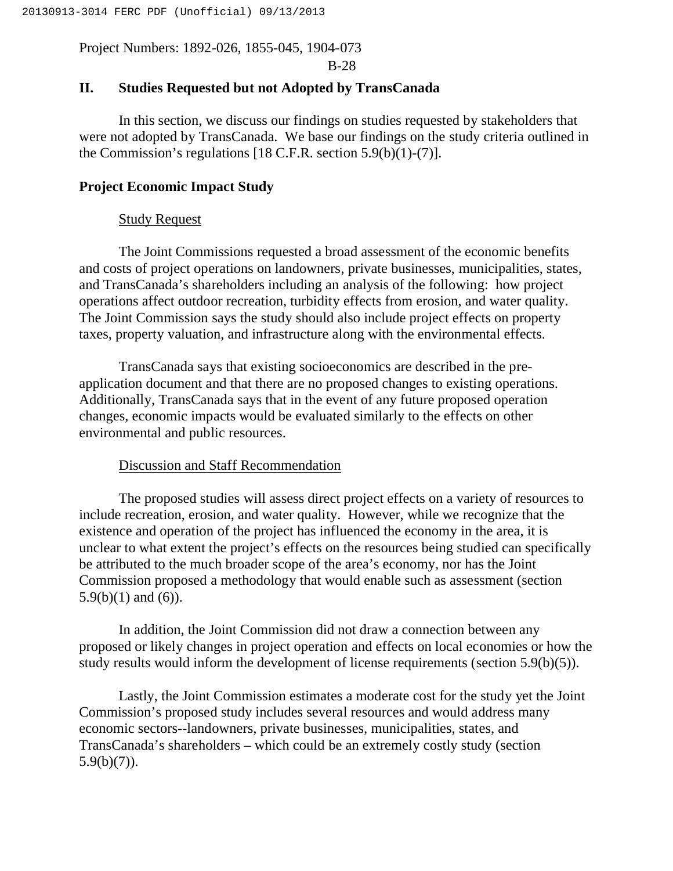B-28

## **II. Studies Requested but not Adopted by TransCanada**

In this section, we discuss our findings on studies requested by stakeholders that were not adopted by TransCanada. We base our findings on the study criteria outlined in the Commission's regulations  $[18 \text{ C.F.R. section } 5.9(b)(1)-(7)].$ 

## **Project Economic Impact Study**

## Study Request

The Joint Commissions requested a broad assessment of the economic benefits and costs of project operations on landowners, private businesses, municipalities, states, and TransCanada's shareholders including an analysis of the following: how project operations affect outdoor recreation, turbidity effects from erosion, and water quality. The Joint Commission says the study should also include project effects on property taxes, property valuation, and infrastructure along with the environmental effects.

TransCanada says that existing socioeconomics are described in the preapplication document and that there are no proposed changes to existing operations. Additionally, TransCanada says that in the event of any future proposed operation changes, economic impacts would be evaluated similarly to the effects on other environmental and public resources.

#### Discussion and Staff Recommendation

The proposed studies will assess direct project effects on a variety of resources to include recreation, erosion, and water quality. However, while we recognize that the existence and operation of the project has influenced the economy in the area, it is unclear to what extent the project's effects on the resources being studied can specifically be attributed to the much broader scope of the area's economy, nor has the Joint Commission proposed a methodology that would enable such as assessment (section  $5.9(b)(1)$  and  $(6)$ ).

In addition, the Joint Commission did not draw a connection between any proposed or likely changes in project operation and effects on local economies or how the study results would inform the development of license requirements (section 5.9(b)(5)).

Lastly, the Joint Commission estimates a moderate cost for the study yet the Joint Commission's proposed study includes several resources and would address many economic sectors--landowners, private businesses, municipalities, states, and TransCanada's shareholders – which could be an extremely costly study (section  $5.9(b)(7)$ ).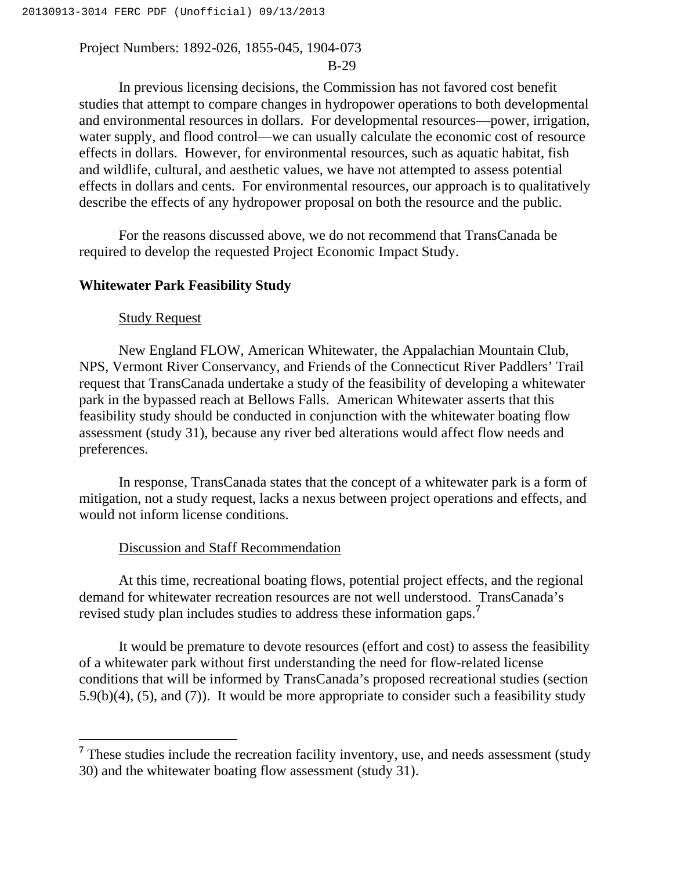#### B-29

In previous licensing decisions, the Commission has not favored cost benefit studies that attempt to compare changes in hydropower operations to both developmental and environmental resources in dollars. For developmental resources—power, irrigation, water supply, and flood control—we can usually calculate the economic cost of resource effects in dollars. However, for environmental resources, such as aquatic habitat, fish and wildlife, cultural, and aesthetic values, we have not attempted to assess potential effects in dollars and cents. For environmental resources, our approach is to qualitatively describe the effects of any hydropower proposal on both the resource and the public.

For the reasons discussed above, we do not recommend that TransCanada be required to develop the requested Project Economic Impact Study.

#### **Whitewater Park Feasibility Study**

#### Study Request

 $\overline{a}$ 

New England FLOW, American Whitewater, the Appalachian Mountain Club, NPS, Vermont River Conservancy, and Friends of the Connecticut River Paddlers' Trail request that TransCanada undertake a study of the feasibility of developing a whitewater park in the bypassed reach at Bellows Falls. American Whitewater asserts that this feasibility study should be conducted in conjunction with the whitewater boating flow assessment (study 31), because any river bed alterations would affect flow needs and preferences.

In response, TransCanada states that the concept of a whitewater park is a form of mitigation, not a study request, lacks a nexus between project operations and effects, and would not inform license conditions.

#### Discussion and Staff Recommendation

At this time, recreational boating flows, potential project effects, and the regional demand for whitewater recreation resources are not well understood. TransCanada's revised study plan includes studies to address these information gaps.**<sup>7</sup>**

It would be premature to devote resources (effort and cost) to assess the feasibility of a whitewater park without first understanding the need for flow-related license conditions that will be informed by TransCanada's proposed recreational studies (section 5.9(b)(4), (5), and (7)). It would be more appropriate to consider such a feasibility study

<sup>&</sup>lt;sup>7</sup> These studies include the recreation facility inventory, use, and needs assessment (study 30) and the whitewater boating flow assessment (study 31).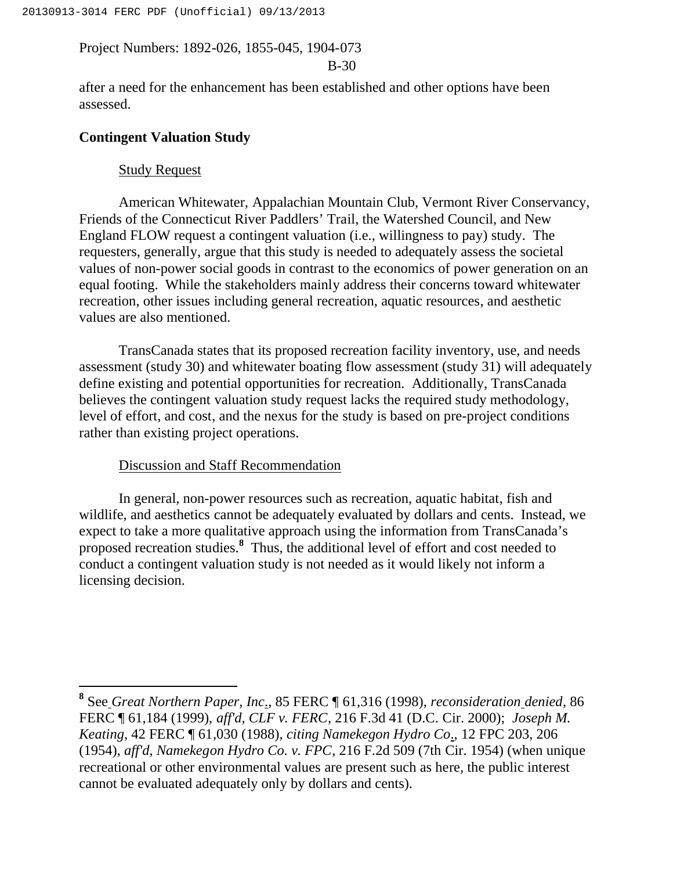## B-30

after a need for the enhancement has been established and other options have been assessed.

#### **Contingent Valuation Study**

## Study Request

American Whitewater, Appalachian Mountain Club, Vermont River Conservancy, Friends of the Connecticut River Paddlers' Trail, the Watershed Council, and New England FLOW request a contingent valuation (i.e., willingness to pay) study. The requesters, generally, argue that this study is needed to adequately assess the societal values of non-power social goods in contrast to the economics of power generation on an equal footing. While the stakeholders mainly address their concerns toward whitewater recreation, other issues including general recreation, aquatic resources, and aesthetic values are also mentioned.

TransCanada states that its proposed recreation facility inventory, use, and needs assessment (study 30) and whitewater boating flow assessment (study 31) will adequately define existing and potential opportunities for recreation. Additionally, TransCanada believes the contingent valuation study request lacks the required study methodology, level of effort, and cost, and the nexus for the study is based on pre-project conditions rather than existing project operations.

#### Discussion and Staff Recommendation

In general, non-power resources such as recreation, aquatic habitat, fish and wildlife, and aesthetics cannot be adequately evaluated by dollars and cents. Instead, we expect to take a more qualitative approach using the information from TransCanada's proposed recreation studies.**<sup>8</sup>** Thus, the additional level of effort and cost needed to conduct a contingent valuation study is not needed as it would likely not inform a licensing decision.

**<sup>8</sup>** See *Great Northern Paper, Inc*., 85 FERC ¶ 61,316 (1998), *reconsideration denied*, 86 FERC ¶ 61,184 (1999), *aff'd, CLF v. FERC*, 216 F.3d 41 (D.C. Cir. 2000); *Joseph M. Keating*, 42 FERC ¶ 61,030 (1988), *citing Namekegon Hydro Co*., 12 FPC 203, 206 (1954), *aff'd, Namekegon Hydro Co. v. FPC*, 216 F.2d 509 (7th Cir. 1954) (when unique recreational or other environmental values are present such as here, the public interest cannot be evaluated adequately only by dollars and cents).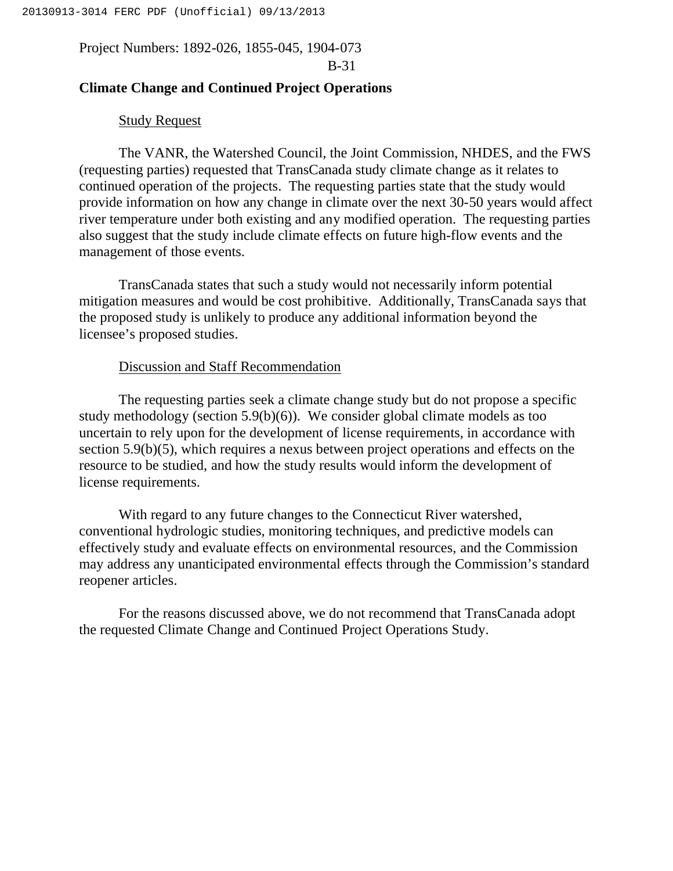B-31

## **Climate Change and Continued Project Operations**

## Study Request

The VANR, the Watershed Council, the Joint Commission, NHDES, and the FWS (requesting parties) requested that TransCanada study climate change as it relates to continued operation of the projects. The requesting parties state that the study would provide information on how any change in climate over the next 30-50 years would affect river temperature under both existing and any modified operation. The requesting parties also suggest that the study include climate effects on future high-flow events and the management of those events.

TransCanada states that such a study would not necessarily inform potential mitigation measures and would be cost prohibitive. Additionally, TransCanada says that the proposed study is unlikely to produce any additional information beyond the licensee's proposed studies.

#### Discussion and Staff Recommendation

The requesting parties seek a climate change study but do not propose a specific study methodology (section 5.9(b)(6)). We consider global climate models as too uncertain to rely upon for the development of license requirements, in accordance with section 5.9(b)(5), which requires a nexus between project operations and effects on the resource to be studied, and how the study results would inform the development of license requirements.

With regard to any future changes to the Connecticut River watershed, conventional hydrologic studies, monitoring techniques, and predictive models can effectively study and evaluate effects on environmental resources, and the Commission may address any unanticipated environmental effects through the Commission's standard reopener articles.

For the reasons discussed above, we do not recommend that TransCanada adopt the requested Climate Change and Continued Project Operations Study.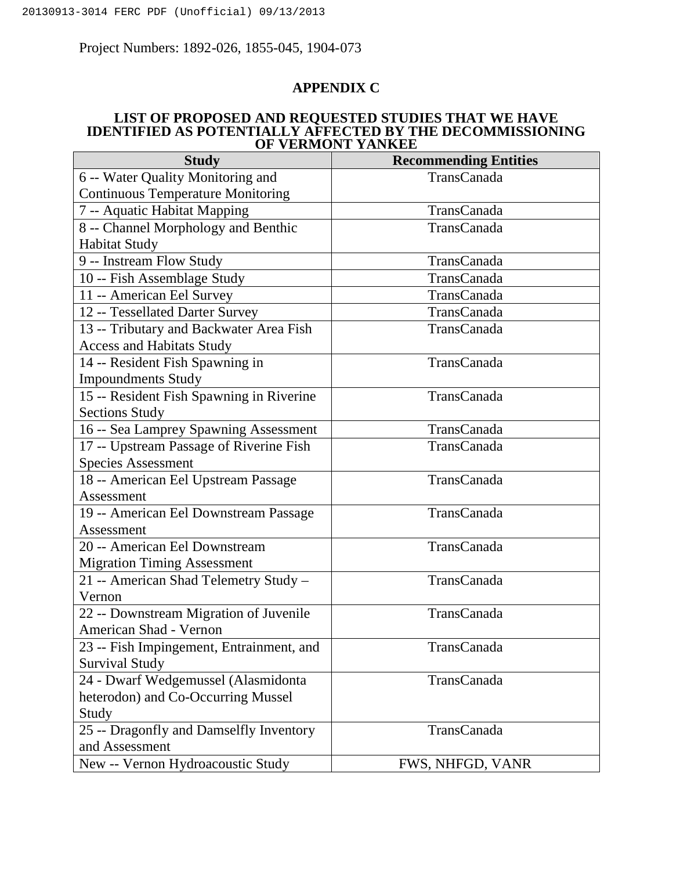## **APPENDIX C**

#### **LIST OF PROPOSED AND REQUESTED STUDIES THAT WE HAVE IDENTIFIED AS POTENTIALLY AFFECTED BY THE DECOMMISSIONING OF VERMONT YANKEE**

| <b>Study</b>                             | <b>Recommending Entities</b> |  |  |
|------------------------------------------|------------------------------|--|--|
| 6 -- Water Quality Monitoring and        | TransCanada                  |  |  |
| <b>Continuous Temperature Monitoring</b> |                              |  |  |
| 7 -- Aquatic Habitat Mapping             | TransCanada                  |  |  |
| 8 -- Channel Morphology and Benthic      | TransCanada                  |  |  |
| <b>Habitat Study</b>                     |                              |  |  |
| 9 -- Instream Flow Study                 | TransCanada                  |  |  |
| 10 -- Fish Assemblage Study              | <b>TransCanada</b>           |  |  |
| 11 -- American Eel Survey                | TransCanada                  |  |  |
| 12 -- Tessellated Darter Survey          | TransCanada                  |  |  |
| 13 -- Tributary and Backwater Area Fish  | TransCanada                  |  |  |
| <b>Access and Habitats Study</b>         |                              |  |  |
| 14 -- Resident Fish Spawning in          | TransCanada                  |  |  |
| <b>Impoundments Study</b>                |                              |  |  |
| 15 -- Resident Fish Spawning in Riverine | TransCanada                  |  |  |
| <b>Sections Study</b>                    |                              |  |  |
| 16 -- Sea Lamprey Spawning Assessment    | TransCanada                  |  |  |
| 17 -- Upstream Passage of Riverine Fish  | TransCanada                  |  |  |
| <b>Species Assessment</b>                |                              |  |  |
| 18 -- American Eel Upstream Passage      | TransCanada                  |  |  |
| Assessment                               |                              |  |  |
| 19 -- American Eel Downstream Passage    | TransCanada                  |  |  |
| Assessment                               |                              |  |  |
| 20 -- American Eel Downstream            | TransCanada                  |  |  |
| <b>Migration Timing Assessment</b>       |                              |  |  |
| 21 -- American Shad Telemetry Study -    | TransCanada                  |  |  |
| Vernon                                   |                              |  |  |
| 22 -- Downstream Migration of Juvenile   | TransCanada                  |  |  |
| American Shad - Vernon                   |                              |  |  |
| 23 -- Fish Impingement, Entrainment, and | TransCanada                  |  |  |
| <b>Survival Study</b>                    |                              |  |  |
| 24 - Dwarf Wedgemussel (Alasmidonta      | TransCanada                  |  |  |
| heterodon) and Co-Occurring Mussel       |                              |  |  |
| Study                                    |                              |  |  |
| 25 -- Dragonfly and Damselfly Inventory  | TransCanada                  |  |  |
| and Assessment                           |                              |  |  |
| New -- Vernon Hydroacoustic Study        | FWS, NHFGD, VANR             |  |  |